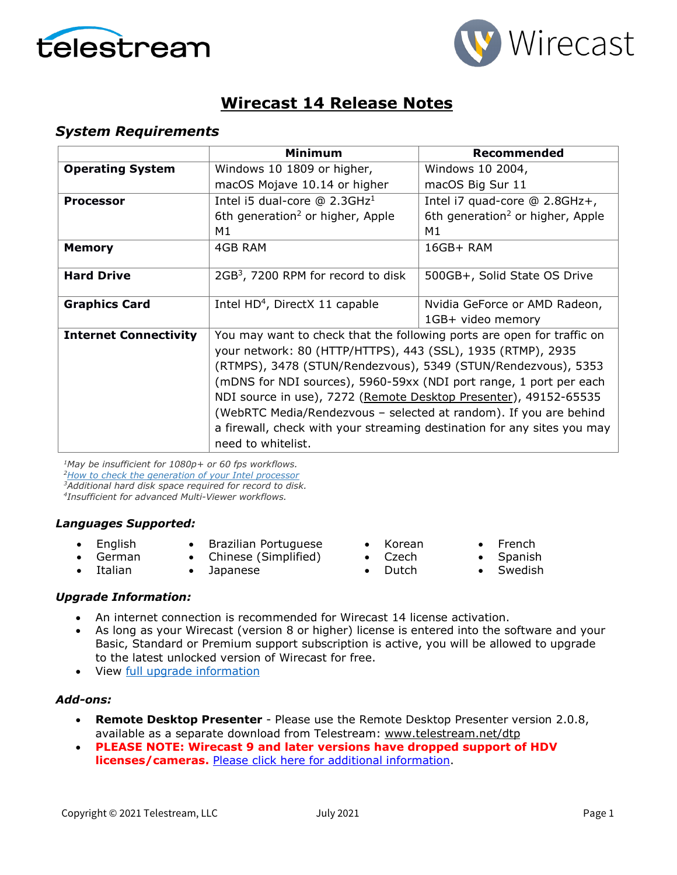



### **Wirecast 14 Release Notes**

#### *System Requirements*

|                              | Minimum                                                                                                                                                                                                     | Recommended                                  |  |
|------------------------------|-------------------------------------------------------------------------------------------------------------------------------------------------------------------------------------------------------------|----------------------------------------------|--|
| <b>Operating System</b>      | Windows 10 1809 or higher,                                                                                                                                                                                  | Windows 10 2004,                             |  |
|                              | macOS Mojave 10.14 or higher                                                                                                                                                                                | macOS Big Sur 11                             |  |
| <b>Processor</b>             | Intel i5 dual-core $@$ 2.3GHz <sup>1</sup>                                                                                                                                                                  | Intel i7 quad-core @ 2.8GHz+,                |  |
|                              | 6th generation <sup>2</sup> or higher, Apple                                                                                                                                                                | 6th generation <sup>2</sup> or higher, Apple |  |
|                              | M1                                                                                                                                                                                                          | M1                                           |  |
| <b>Memory</b>                | 4GB RAM                                                                                                                                                                                                     | $16GB+ RAM$                                  |  |
| <b>Hard Drive</b>            | 2GB <sup>3</sup> , 7200 RPM for record to disk                                                                                                                                                              | 500GB+, Solid State OS Drive                 |  |
| <b>Graphics Card</b>         | Intel HD <sup>4</sup> , DirectX 11 capable                                                                                                                                                                  | Nvidia GeForce or AMD Radeon,                |  |
|                              |                                                                                                                                                                                                             | 1GB+ video memory                            |  |
| <b>Internet Connectivity</b> | You may want to check that the following ports are open for traffic on                                                                                                                                      |                                              |  |
|                              | your network: 80 (HTTP/HTTPS), 443 (SSL), 1935 (RTMP), 2935                                                                                                                                                 |                                              |  |
|                              | (RTMPS), 3478 (STUN/Rendezvous), 5349 (STUN/Rendezvous), 5353                                                                                                                                               |                                              |  |
|                              | (mDNS for NDI sources), 5960-59xx (NDI port range, 1 port per each<br>NDI source in use), 7272 (Remote Desktop Presenter), 49152-65535<br>(WebRTC Media/Rendezvous - selected at random). If you are behind |                                              |  |
|                              |                                                                                                                                                                                                             |                                              |  |
|                              |                                                                                                                                                                                                             |                                              |  |
|                              | a firewall, check with your streaming destination for any sites you may                                                                                                                                     |                                              |  |
|                              | need to whitelist.                                                                                                                                                                                          |                                              |  |

*1May be insufficient for 1080p+ or 60 fps workflows. [2How to check the generation of your Intel](http://www.telestream.net/telestream-support/wire-cast/faq.htm?kbURL=http://telestream.force.com/kb/articles/Knowledge_Article/Wirecast-How-to-check-the-generation-of-your-Intel-processor/) processor 3Additional hard disk space required for record to disk. 4Insufficient for advanced Multi-Viewer workflows.*

#### *Languages Supported:*

- English
- Brazilian Portuguese
- German • Italian
- Chinese (Simplified)
- Japanese
- Korean
	- Czech
	- Dutch
- French • Spanish
- - Swedish

#### *Upgrade Information:*

- An internet connection is recommended for Wirecast 14 license activation.
- As long as your Wirecast (version 8 or higher) license is entered into the software and your Basic, Standard or Premium support subscription is active, you will be allowed to upgrade to the latest unlocked version of Wirecast for free.
- View [full upgrade information](http://www.telestream.net/wirecast/upgrade.htm#update)

#### *Add-ons:*

- **Remote Desktop Presenter**  Please use the Remote Desktop Presenter version 2.0.8, available as a separate download from Telestream: [www.telestream.net/dtp](http://www.telestream.net/dtp)
- **PLEASE NOTE: Wirecast 9 and later versions have dropped support of HDV licenses/cameras. [Please click here for additional information.](http://www.telestream.net/telestream-support/wire-cast/faq.htm?kbURL=http://telestream.force.com/kb/articles/Knowledge_Article/Wirecast-HDV-Firewire-No-longer-Supported/)**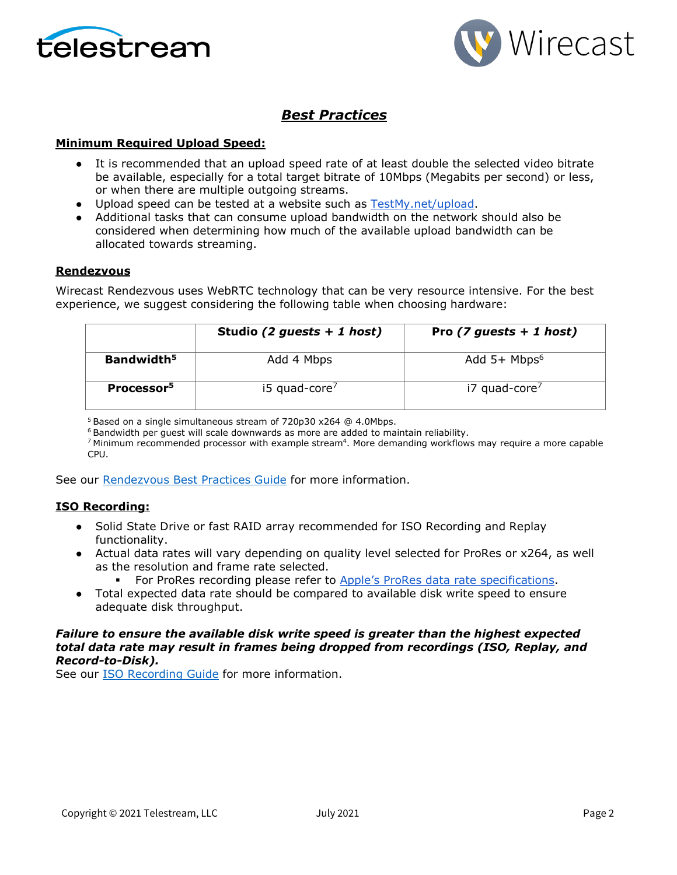



### *Best Practices*

#### **Minimum Required Upload Speed:**

- It is recommended that an upload speed rate of at least double the selected video bitrate be available, especially for a total target bitrate of 10Mbps (Megabits per second) or less, or when there are multiple outgoing streams.
- Upload speed can be tested at a website such as [TestMy.net/upload.](http://testmy.net/upload)
- Additional tasks that can consume upload bandwidth on the network should also be considered when determining how much of the available upload bandwidth can be allocated towards streaming.

#### **Rendezvous**

Wirecast Rendezvous uses WebRTC technology that can be very resource intensive. For the best experience, we suggest considering the following table when choosing hardware:

|                        | Studio (2 guests + 1 host)  | Pro $(7 \text{ guests} + 1 \text{ host})$ |
|------------------------|-----------------------------|-------------------------------------------|
| Bandwidth <sup>5</sup> | Add 4 Mbps                  | Add $5+$ Mbps <sup>6</sup>                |
| Processor <sup>5</sup> | $15$ quad-core <sup>7</sup> | i7 quad-core <sup>7</sup>                 |

<sup>5</sup> Based on a single simultaneous stream of 720p30 x264 @ 4.0Mbps.

 $6$  Bandwidth per quest will scale downwards as more are added to maintain reliability.

 $7$  Minimum recommended processor with example stream<sup>4</sup>. More demanding workflows may require a more capable CPU.

See our [Rendezvous Best Practices Guide](http://www.telestream.net/pdfs/technical/Wirecast-Rendezvous-Best-Practices-Guide.pdf) for more information.

#### **ISO Recording:**

- Solid State Drive or fast RAID array recommended for ISO Recording and Replay functionality.
- Actual data rates will vary depending on quality level selected for ProRes or x264, as well as the resolution and frame rate selected.
	- For ProRes recording please refer to [Apple's ProRes data rate specifications.](https://en.wikipedia.org/wiki/Apple_ProRes#ProRes-Overview)
- Total expected data rate should be compared to available disk write speed to ensure adequate disk throughput.

#### *Failure to ensure the available disk write speed is greater than the highest expected total data rate may result in frames being dropped from recordings (ISO, Replay, and Record-to-Disk).*

See our **ISO Recording Guide** for more information.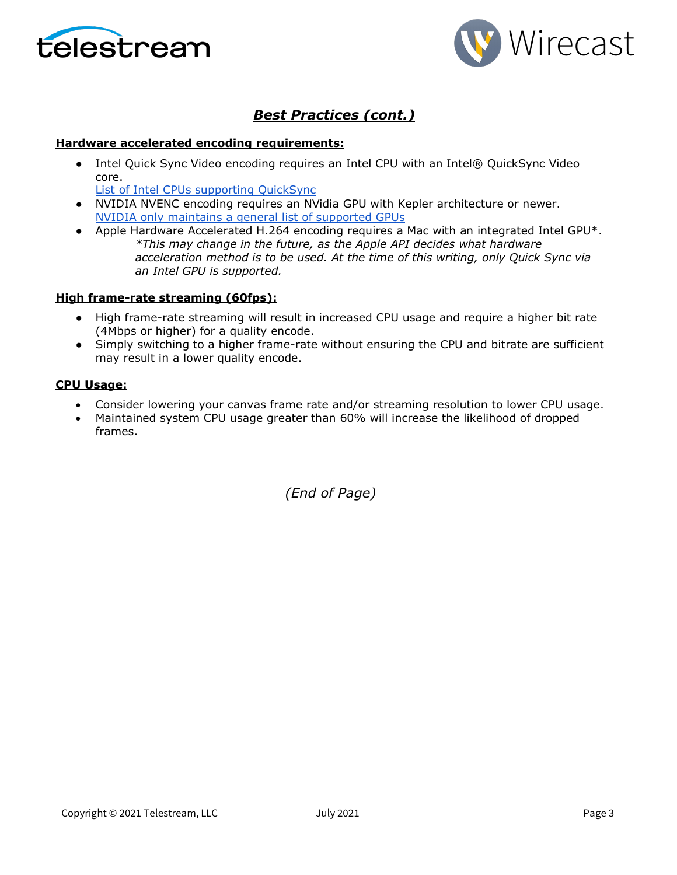



### *Best Practices (cont.)*

#### **Hardware accelerated encoding requirements:**

• Intel Quick Sync Video encoding requires an Intel CPU with an Intel® QuickSync Video core[.](http://ark.intel.com/search/advanced?QuickSyncVideo=true&MarketSegment=DT)

[List of Intel CPUs supporting QuickSync](https://ark.intel.com/content/www/us/en/ark/search/featurefilter.html?productType=873&0_QuickSyncVideo=True)

- NVIDIA NVENC encoding requires an NVidia GPU with Kepler architecture or newer[.](https://developer.nvidia.com/nvidia-video-codec-sdk) [NVIDIA only maintains a general list of supported GPUs](https://developer.nvidia.com/nvidia-video-codec-sdk)
- Apple Hardware Accelerated H.264 encoding requires a Mac with an integrated Intel GPU\*. *\*This may change in the future, as the Apple API decides what hardware acceleration method is to be used. At the time of this writing, only Quick Sync via an Intel GPU is supported.*

#### **High frame-rate streaming (60fps):**

- High frame-rate streaming will result in increased CPU usage and require a higher bit rate (4Mbps or higher) for a quality encode.
- Simply switching to a higher frame-rate without ensuring the CPU and bitrate are sufficient may result in a lower quality encode.

#### **CPU Usage:**

- Consider lowering your canvas frame rate and/or streaming resolution to lower CPU usage.
- Maintained system CPU usage greater than 60% will increase the likelihood of dropped frames.

*(End of Page)*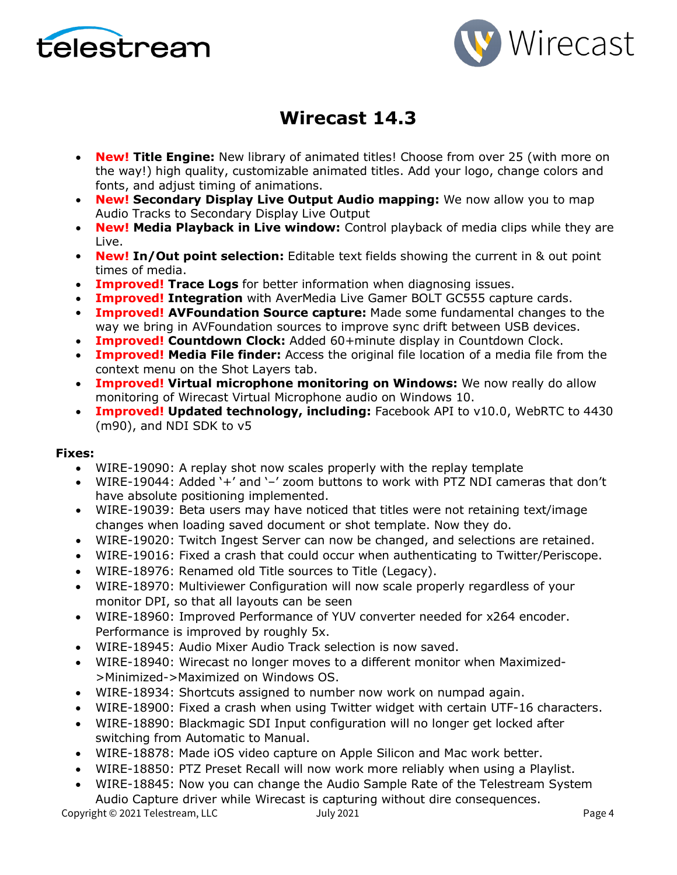



# **Wirecast 14.3**

- **New! Title Engine:** New library of animated titles! Choose from over 25 (with more on the way!) high quality, customizable animated titles. Add your logo, change colors and fonts, and adjust timing of animations.
- **New! Secondary Display Live Output Audio mapping:** We now allow you to map Audio Tracks to Secondary Display Live Output
- **New! Media Playback in Live window:** Control playback of media clips while they are Live.
- **New! In/Out point selection:** Editable text fields showing the current in & out point times of media.
- **Improved! Trace Logs** for better information when diagnosing issues.
- **Improved! Integration** with AverMedia Live Gamer BOLT GC555 capture cards.
- **Improved! AVFoundation Source capture:** Made some fundamental changes to the way we bring in AVFoundation sources to improve sync drift between USB devices.
- **Improved! Countdown Clock:** Added 60+minute display in Countdown Clock.
- **Improved! Media File finder:** Access the original file location of a media file from the context menu on the Shot Layers tab.
- **Improved! Virtual microphone monitoring on Windows:** We now really do allow monitoring of Wirecast Virtual Microphone audio on Windows 10.
- **Improved! Updated technology, including:** Facebook API to v10.0, WebRTC to 4430 (m90), and NDI SDK to v5

#### **Fixes:**

- WIRE-19090: A replay shot now scales properly with the replay template
- WIRE-19044: Added '+' and '–' zoom buttons to work with PTZ NDI cameras that don't have absolute positioning implemented.
- WIRE-19039: Beta users may have noticed that titles were not retaining text/image changes when loading saved document or shot template. Now they do.
- WIRE-19020: Twitch Ingest Server can now be changed, and selections are retained.
- WIRE-19016: Fixed a crash that could occur when authenticating to Twitter/Periscope.
- WIRE-18976: Renamed old Title sources to Title (Legacy).
- WIRE-18970: Multiviewer Configuration will now scale properly regardless of your monitor DPI, so that all layouts can be seen
- WIRE-18960: Improved Performance of YUV converter needed for x264 encoder. Performance is improved by roughly 5x.
- WIRE-18945: Audio Mixer Audio Track selection is now saved.
- WIRE-18940: Wirecast no longer moves to a different monitor when Maximized- >Minimized->Maximized on Windows OS.
- WIRE-18934: Shortcuts assigned to number now work on numpad again.
- WIRE-18900: Fixed a crash when using Twitter widget with certain UTF-16 characters.
- WIRE-18890: Blackmagic SDI Input configuration will no longer get locked after switching from Automatic to Manual.
- WIRE-18878: Made iOS video capture on Apple Silicon and Mac work better.
- WIRE-18850: PTZ Preset Recall will now work more reliably when using a Playlist.
- WIRE-18845: Now you can change the Audio Sample Rate of the Telestream System Audio Capture driver while Wirecast is capturing without dire consequences.

Copyright © 2021 Telestream, LLC and Tuly 2021 Copyright © 2021 Page 4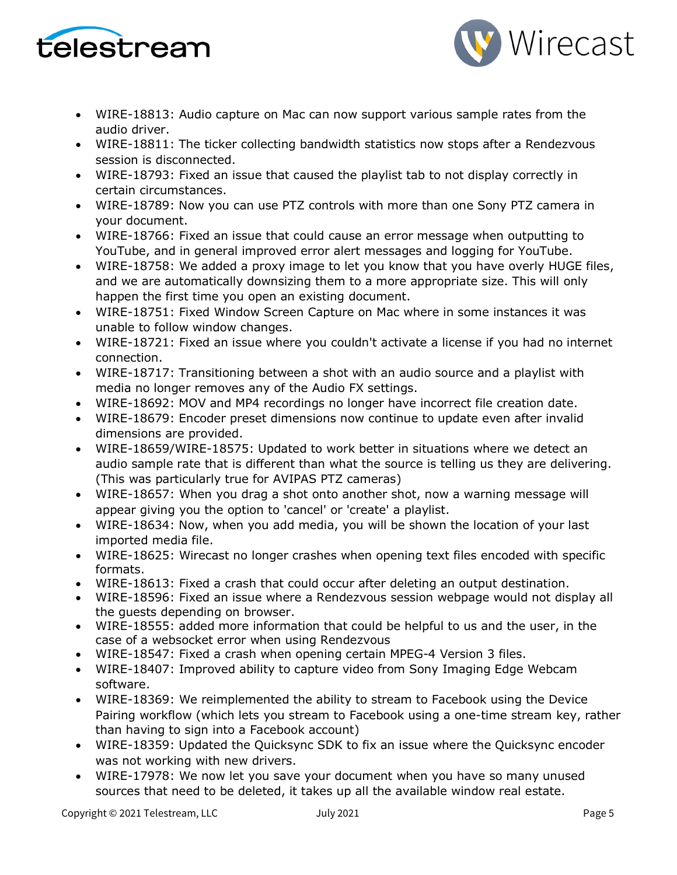



- WIRE-18813: Audio capture on Mac can now support various sample rates from the audio driver.
- WIRE-18811: The ticker collecting bandwidth statistics now stops after a Rendezvous session is disconnected.
- WIRE-18793: Fixed an issue that caused the playlist tab to not display correctly in certain circumstances.
- WIRE-18789: Now you can use PTZ controls with more than one Sony PTZ camera in your document.
- WIRE-18766: Fixed an issue that could cause an error message when outputting to YouTube, and in general improved error alert messages and logging for YouTube.
- WIRE-18758: We added a proxy image to let you know that you have overly HUGE files, and we are automatically downsizing them to a more appropriate size. This will only happen the first time you open an existing document.
- WIRE-18751: Fixed Window Screen Capture on Mac where in some instances it was unable to follow window changes.
- WIRE-18721: Fixed an issue where you couldn't activate a license if you had no internet connection.
- WIRE-18717: Transitioning between a shot with an audio source and a playlist with media no longer removes any of the Audio FX settings.
- WIRE-18692: MOV and MP4 recordings no longer have incorrect file creation date.
- WIRE-18679: Encoder preset dimensions now continue to update even after invalid dimensions are provided.
- WIRE-18659/WIRE-18575: Updated to work better in situations where we detect an audio sample rate that is different than what the source is telling us they are delivering. (This was particularly true for AVIPAS PTZ cameras)
- WIRE-18657: When you drag a shot onto another shot, now a warning message will appear giving you the option to 'cancel' or 'create' a playlist.
- WIRE-18634: Now, when you add media, you will be shown the location of your last imported media file.
- WIRE-18625: Wirecast no longer crashes when opening text files encoded with specific formats.
- WIRE-18613: Fixed a crash that could occur after deleting an output destination.
- WIRE-18596: Fixed an issue where a Rendezvous session webpage would not display all the guests depending on browser.
- WIRE-18555: added more information that could be helpful to us and the user, in the case of a websocket error when using Rendezvous
- WIRE-18547: Fixed a crash when opening certain MPEG-4 Version 3 files.
- WIRE-18407: Improved ability to capture video from Sony Imaging Edge Webcam software.
- WIRE-18369: We reimplemented the ability to stream to Facebook using the Device Pairing workflow (which lets you stream to Facebook using a one-time stream key, rather than having to sign into a Facebook account)
- WIRE-18359: Updated the Quicksync SDK to fix an issue where the Quicksync encoder was not working with new drivers.
- WIRE-17978: We now let you save your document when you have so many unused sources that need to be deleted, it takes up all the available window real estate.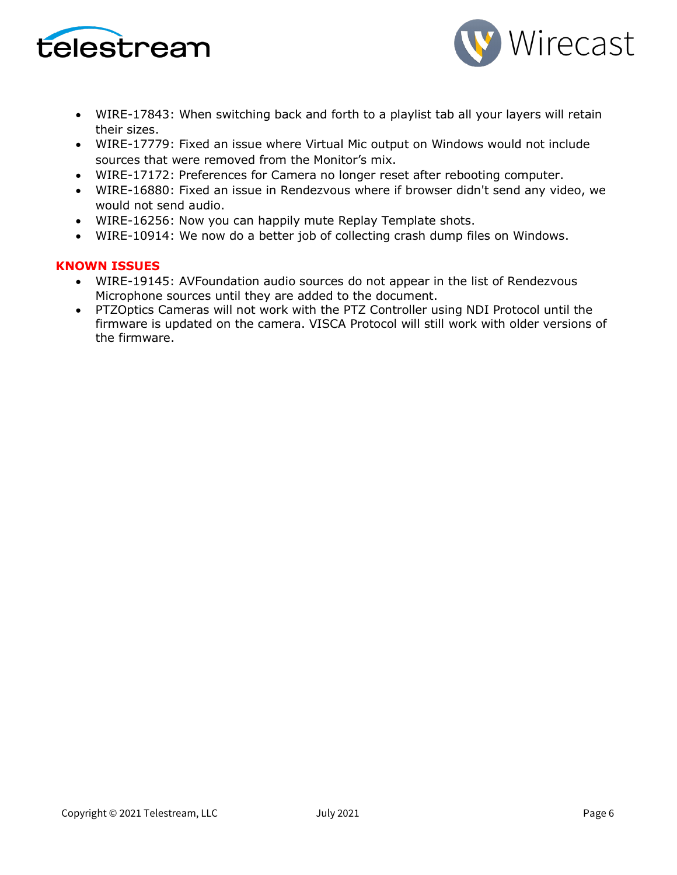



- WIRE-17843: When switching back and forth to a playlist tab all your layers will retain their sizes.
- WIRE-17779: Fixed an issue where Virtual Mic output on Windows would not include sources that were removed from the Monitor's mix.
- WIRE-17172: Preferences for Camera no longer reset after rebooting computer.
- WIRE-16880: Fixed an issue in Rendezvous where if browser didn't send any video, we would not send audio.
- WIRE-16256: Now you can happily mute Replay Template shots.
- WIRE-10914: We now do a better job of collecting crash dump files on Windows.

#### **KNOWN ISSUES**

- WIRE-19145: AVFoundation audio sources do not appear in the list of Rendezvous Microphone sources until they are added to the document.
- PTZOptics Cameras will not work with the PTZ Controller using NDI Protocol until the firmware is updated on the camera. VISCA Protocol will still work with older versions of the firmware.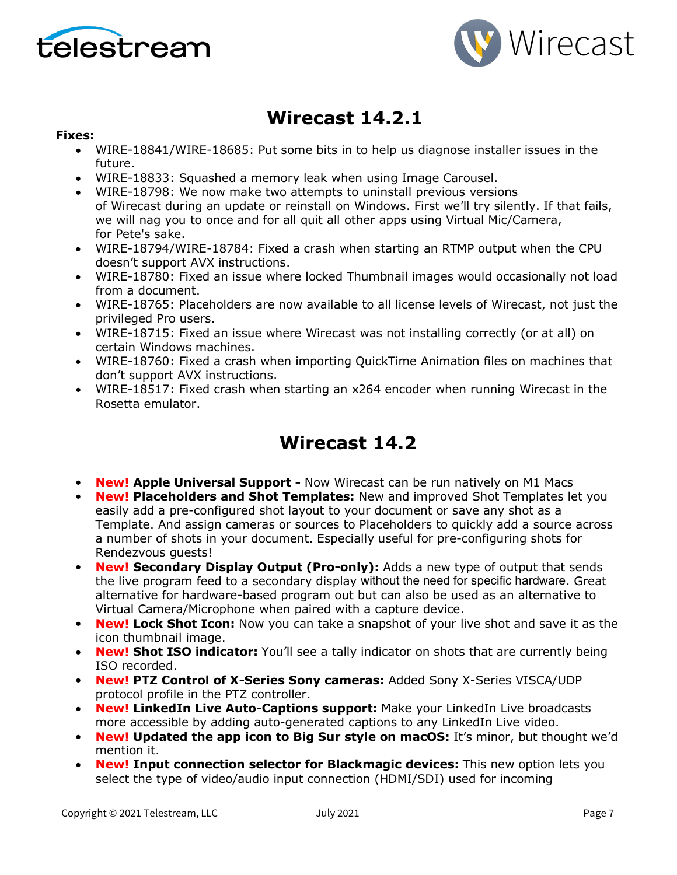



## **Wirecast 14.2.1**

#### **Fixes:**

- WIRE-18841/WIRE-18685: Put some bits in to help us diagnose installer issues in the future.
- WIRE-18833: Squashed a memory leak when using Image Carousel.
- WIRE-18798: We now make two attempts to uninstall previous versions of Wirecast during an update or reinstall on Windows. First we'll try silently. If that fails, we will nag you to once and for all quit all other apps using Virtual Mic/Camera, for Pete's sake.
- WIRE-18794/WIRE-18784: Fixed a crash when starting an RTMP output when the CPU doesn't support AVX instructions.
- WIRE-18780: Fixed an issue where locked Thumbnail images would occasionally not load from a document.
- WIRE-18765: Placeholders are now available to all license levels of Wirecast, not just the privileged Pro users.
- WIRE-18715: Fixed an issue where Wirecast was not installing correctly (or at all) on certain Windows machines.
- WIRE-18760: Fixed a crash when importing QuickTime Animation files on machines that don't support AVX instructions.
- WIRE-18517: Fixed crash when starting an x264 encoder when running Wirecast in the Rosetta emulator.

# **Wirecast 14.2**

- **New! Apple Universal Support -** Now Wirecast can be run natively on M1 Macs
- **New! Placeholders and Shot Templates:** New and improved Shot Templates let you easily add a pre-configured shot layout to your document or save any shot as a Template. And assign cameras or sources to Placeholders to quickly add a source across a number of shots in your document. Especially useful for pre-configuring shots for Rendezvous guests!
- **New! Secondary Display Output (Pro-only):** Adds a new type of output that sends the live program feed to a secondary display without the need for specific hardware. Great alternative for hardware-based program out but can also be used as an alternative to Virtual Camera/Microphone when paired with a capture device.
- **New! Lock Shot Icon:** Now you can take a snapshot of your live shot and save it as the icon thumbnail image.
- **New! Shot ISO indicator:** You'll see a tally indicator on shots that are currently being ISO recorded.
- **New! PTZ Control of X-Series Sony cameras:** Added Sony X-Series VISCA/UDP protocol profile in the PTZ controller.
- **New! LinkedIn Live Auto-Captions support:** Make your LinkedIn Live broadcasts more accessible by adding auto-generated captions to any LinkedIn Live video.
- **New! Updated the app icon to Big Sur style on macOS:** It's minor, but thought we'd mention it.
- **New! Input connection selector for Blackmagic devices:** This new option lets you select the type of video/audio input connection (HDMI/SDI) used for incoming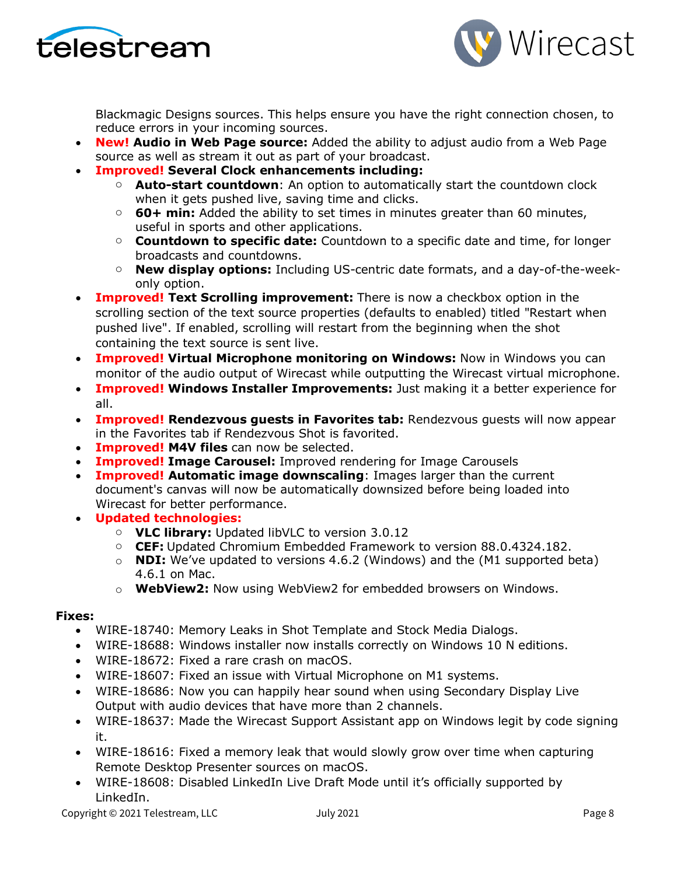



Blackmagic Designs sources. This helps ensure you have the right connection chosen, to reduce errors in your incoming sources.

- **New! Audio in Web Page source:** Added the ability to adjust audio from a Web Page source as well as stream it out as part of your broadcast.
- **Improved! Several Clock enhancements including:**
	- o **Auto-start countdown**: An option to automatically start the countdown clock when it gets pushed live, saving time and clicks.
	- o **60+ min:** Added the ability to set times in minutes greater than 60 minutes, useful in sports and other applications.
	- o **Countdown to specific date:** Countdown to a specific date and time, for longer broadcasts and countdowns.
	- o **New display options:** Including US-centric date formats, and a day-of-the-weekonly option.
- **Improved! Text Scrolling improvement:** There is now a checkbox option in the scrolling section of the text source properties (defaults to enabled) titled "Restart when pushed live". If enabled, scrolling will restart from the beginning when the shot containing the text source is sent live.
- **Improved! Virtual Microphone monitoring on Windows:** Now in Windows you can monitor of the audio output of Wirecast while outputting the Wirecast virtual microphone.
- **Improved! Windows Installer Improvements:** Just making it a better experience for all.
- **Improved! Rendezvous guests in Favorites tab:** Rendezvous guests will now appear in the Favorites tab if Rendezvous Shot is favorited.
- **Improved! M4V files** can now be selected.
- **Improved! Image Carousel:** Improved rendering for Image Carousels
- **Improved! Automatic image downscaling**: Images larger than the current document's canvas will now be automatically downsized before being loaded into Wirecast for better performance.
- **Updated technologies:**
	- o **VLC library:** Updated libVLC to version 3.0.12
	- o **CEF:** Updated Chromium Embedded Framework to version 88.0.4324.182.
	- o **NDI:** We've updated to versions 4.6.2 (Windows) and the (M1 supported beta) 4.6.1 on Mac.
	- o **WebView2:** Now using WebView2 for embedded browsers on Windows.

#### **Fixes:**

- WIRE-18740: Memory Leaks in Shot Template and Stock Media Dialogs.
- WIRE-18688: Windows installer now installs correctly on Windows 10 N editions.
- WIRE-18672: Fixed a rare crash on macOS.
- WIRE-18607: Fixed an issue with Virtual Microphone on M1 systems.
- WIRE-18686: Now you can happily hear sound when using Secondary Display Live Output with audio devices that have more than 2 channels.
- WIRE-18637: Made the Wirecast Support Assistant app on Windows legit by code signing it.
- WIRE-18616: Fixed a memory leak that would slowly grow over time when capturing Remote Desktop Presenter sources on macOS.
- WIRE-18608: Disabled LinkedIn Live Draft Mode until it's officially supported by LinkedIn.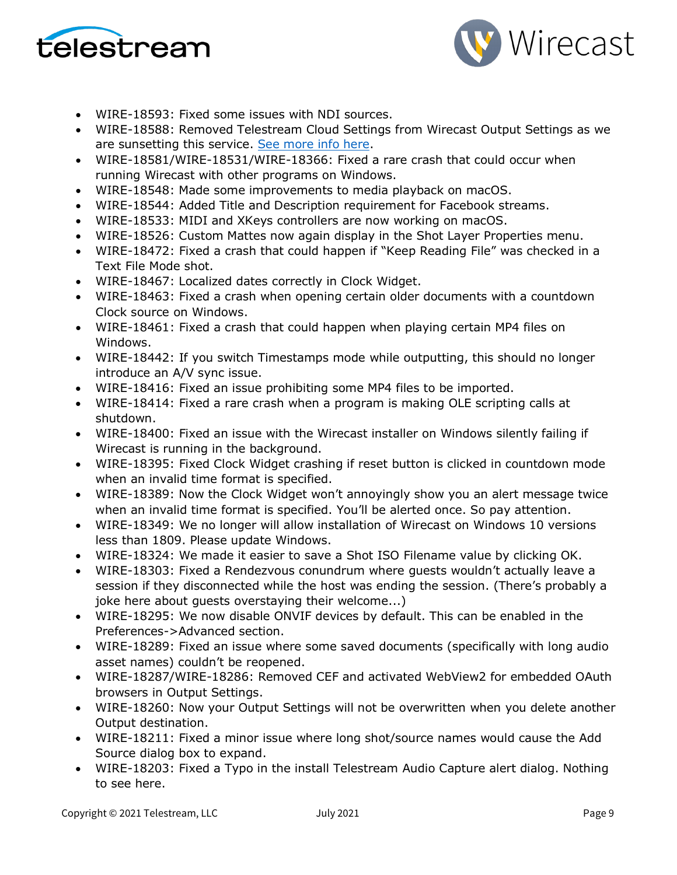



- WIRE-18593: Fixed some issues with NDI sources.
- WIRE-18588: Removed Telestream Cloud Settings from Wirecast Output Settings as we are sunsetting this service. [See more info here.](http://telestream.force.com/kb/articles/Knowledge_Article/Wirecast-Web-Services-Restream-Closed-Caption-Announcement)
- WIRE-18581/WIRE-18531/WIRE-18366: Fixed a rare crash that could occur when running Wirecast with other programs on Windows.
- WIRE-18548: Made some improvements to media playback on macOS.
- WIRE-18544: Added Title and Description requirement for Facebook streams.
- WIRE-18533: MIDI and XKeys controllers are now working on macOS.
- WIRE-18526: Custom Mattes now again display in the Shot Layer Properties menu.
- WIRE-18472: Fixed a crash that could happen if "Keep Reading File" was checked in a Text File Mode shot.
- WIRE-18467: Localized dates correctly in Clock Widget.
- WIRE-18463: Fixed a crash when opening certain older documents with a countdown Clock source on Windows.
- WIRE-18461: Fixed a crash that could happen when playing certain MP4 files on Windows.
- WIRE-18442: If you switch Timestamps mode while outputting, this should no longer introduce an A/V sync issue.
- WIRE-18416: Fixed an issue prohibiting some MP4 files to be imported.
- WIRE-18414: Fixed a rare crash when a program is making OLE scripting calls at shutdown.
- WIRE-18400: Fixed an issue with the Wirecast installer on Windows silently failing if Wirecast is running in the background.
- WIRE-18395: Fixed Clock Widget crashing if reset button is clicked in countdown mode when an invalid time format is specified.
- WIRE-18389: Now the Clock Widget won't annoyingly show you an alert message twice when an invalid time format is specified. You'll be alerted once. So pay attention.
- WIRE-18349: We no longer will allow installation of Wirecast on Windows 10 versions less than 1809. Please update Windows.
- WIRE-18324: We made it easier to save a Shot ISO Filename value by clicking OK.
- WIRE-18303: Fixed a Rendezvous conundrum where guests wouldn't actually leave a session if they disconnected while the host was ending the session. (There's probably a joke here about guests overstaying their welcome...)
- WIRE-18295: We now disable ONVIF devices by default. This can be enabled in the Preferences->Advanced section.
- WIRE-18289: Fixed an issue where some saved documents (specifically with long audio asset names) couldn't be reopened.
- WIRE-18287/WIRE-18286: Removed CEF and activated WebView2 for embedded OAuth browsers in Output Settings.
- WIRE-18260: Now your Output Settings will not be overwritten when you delete another Output destination.
- WIRE-18211: Fixed a minor issue where long shot/source names would cause the Add Source dialog box to expand.
- WIRE-18203: Fixed a Typo in the install Telestream Audio Capture alert dialog. Nothing to see here.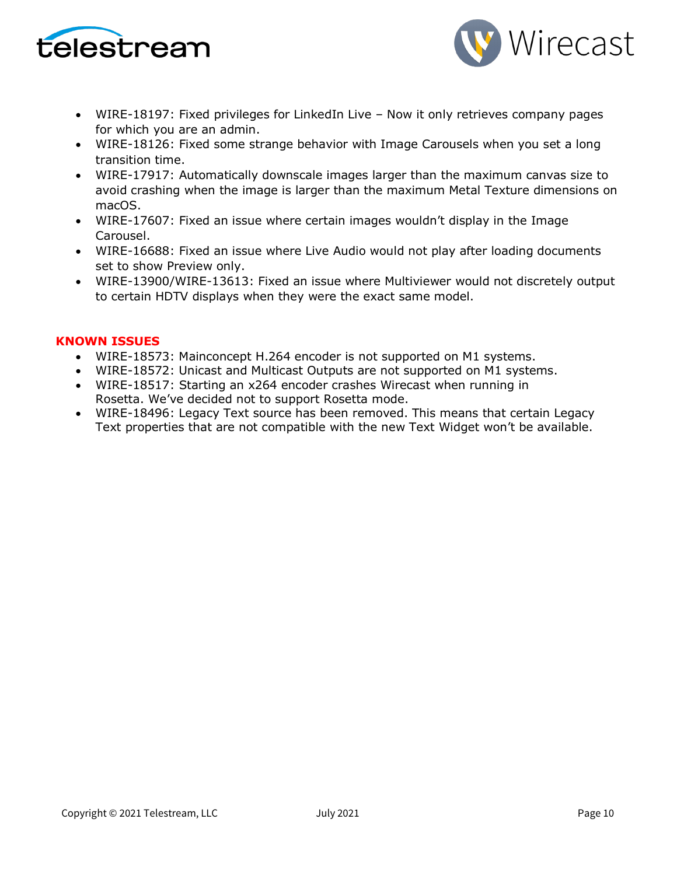



- WIRE-18197: Fixed privileges for LinkedIn Live Now it only retrieves company pages for which you are an admin.
- WIRE-18126: Fixed some strange behavior with Image Carousels when you set a long transition time.
- WIRE-17917: Automatically downscale images larger than the maximum canvas size to avoid crashing when the image is larger than the maximum Metal Texture dimensions on macOS.
- WIRE-17607: Fixed an issue where certain images wouldn't display in the Image Carousel.
- WIRE-16688: Fixed an issue where Live Audio would not play after loading documents set to show Preview only.
- WIRE-13900/WIRE-13613: Fixed an issue where Multiviewer would not discretely output to certain HDTV displays when they were the exact same model.

#### **KNOWN ISSUES**

- WIRE-18573: Mainconcept H.264 encoder is not supported on M1 systems.
- WIRE-18572: Unicast and Multicast Outputs are not supported on M1 systems.
- WIRE-18517: Starting an x264 encoder crashes Wirecast when running in Rosetta. We've decided not to support Rosetta mode.
- WIRE-18496: Legacy Text source has been removed. This means that certain Legacy Text properties that are not compatible with the new Text Widget won't be available.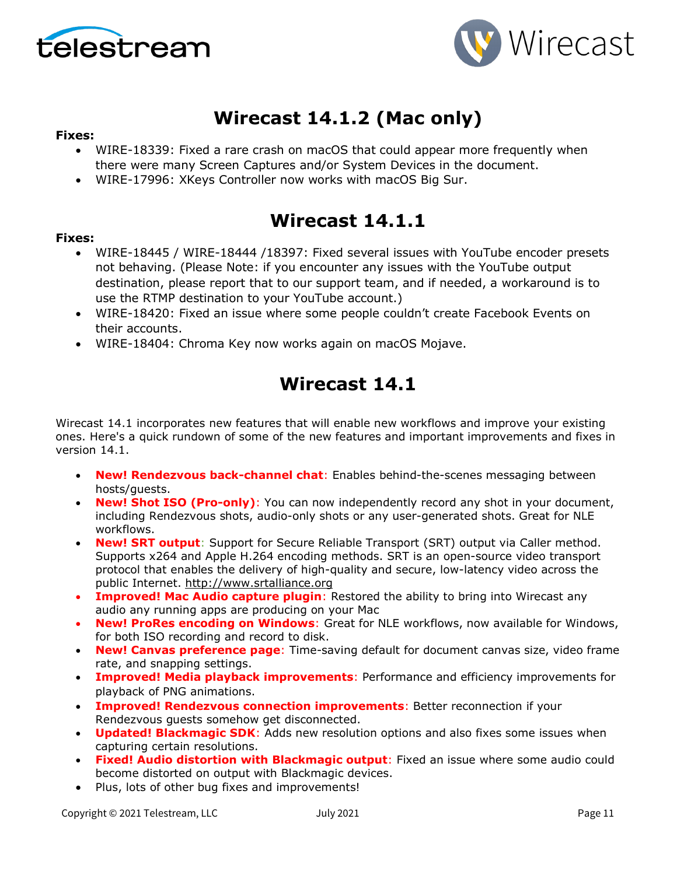



# **Wirecast 14.1.2 (Mac only)**

#### **Fixes:**

- WIRE-18339: Fixed a rare crash on macOS that could appear more frequently when there were many Screen Captures and/or System Devices in the document.
- WIRE-17996: XKeys Controller now works with macOS Big Sur.

### **Wirecast 14.1.1**

#### **Fixes:**

- WIRE-18445 / WIRE-18444 /18397: Fixed several issues with YouTube encoder presets not behaving. (Please Note: if you encounter any issues with the YouTube output destination, please report that to our support team, and if needed, a workaround is to use the RTMP destination to your YouTube account.)
- WIRE-18420: Fixed an issue where some people couldn't create Facebook Events on their accounts.
- WIRE-18404: Chroma Key now works again on macOS Mojave.

# **Wirecast 14.1**

Wirecast 14.1 incorporates new features that will enable new workflows and improve your existing ones. Here's a quick rundown of some of the new features and important improvements and fixes in version 14.1.

- **New! Rendezvous back-channel chat**: Enables behind-the-scenes messaging between hosts/guests.
- **New! Shot ISO (Pro-only)**: You can now independently record any shot in your document, including Rendezvous shots, audio-only shots or any user-generated shots. Great for NLE workflows.
- **New! SRT output**: Support for Secure Reliable Transport (SRT) output via Caller method. Supports x264 and Apple H.264 encoding methods. SRT is an open-source video transport protocol that enables the delivery of high-quality and secure, low-latency video across the public Internet. [http://www.srtalliance.org](http://www.srtalliance.org/)
- **Improved! Mac Audio capture plugin**: Restored the ability to bring into Wirecast any audio any running apps are producing on your Mac
- **New! ProRes encoding on Windows**: Great for NLE workflows, now available for Windows, for both ISO recording and record to disk.
- **New! Canvas preference page**: Time-saving default for document canvas size, video frame rate, and snapping settings.
- **Improved! Media playback improvements**: Performance and efficiency improvements for playback of PNG animations.
- **Improved! Rendezvous connection improvements**: Better reconnection if your Rendezvous guests somehow get disconnected.
- **Updated! Blackmagic SDK**: Adds new resolution options and also fixes some issues when capturing certain resolutions.
- **Fixed! Audio distortion with Blackmagic output**: Fixed an issue where some audio could become distorted on output with Blackmagic devices.
- Plus, lots of other bug fixes and improvements!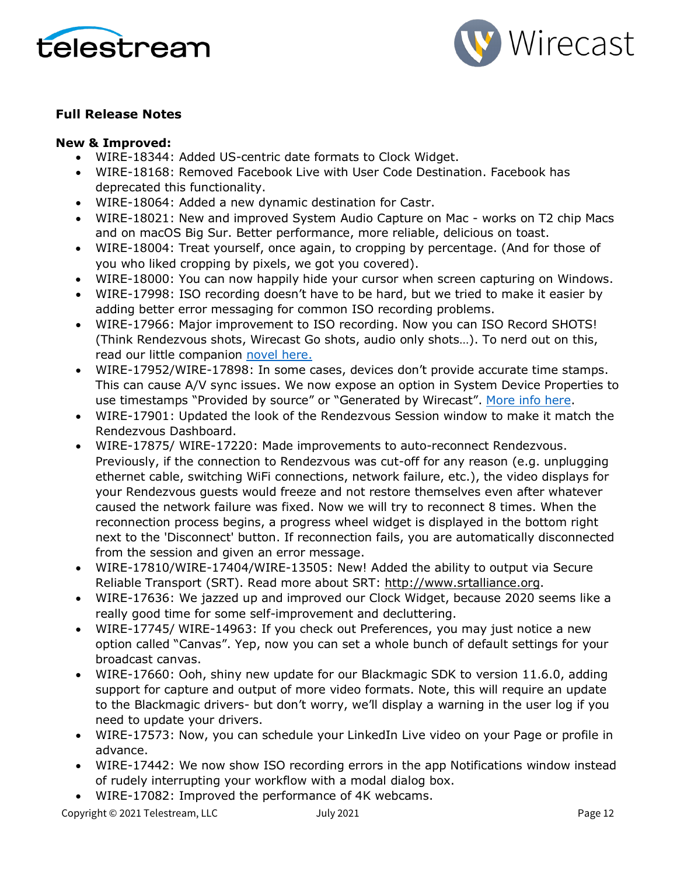



#### **Full Release Notes**

#### **New & Improved:**

- WIRE-18344: Added US-centric date formats to Clock Widget.
- WIRE-18168: Removed Facebook Live with User Code Destination. Facebook has deprecated this functionality.
- WIRE-18064: Added a new dynamic destination for Castr.
- WIRE-18021: New and improved System Audio Capture on Mac works on T2 chip Macs and on macOS Big Sur. Better performance, more reliable, delicious on toast.
- WIRE-18004: Treat yourself, once again, to cropping by percentage. (And for those of you who liked cropping by pixels, we got you covered).
- WIRE-18000: You can now happily hide your cursor when screen capturing on Windows.
- WIRE-17998: ISO recording doesn't have to be hard, but we tried to make it easier by adding better error messaging for common ISO recording problems.
- WIRE-17966: Major improvement to ISO recording. Now you can ISO Record SHOTS! (Think Rendezvous shots, Wirecast Go shots, audio only shots…). To nerd out on this, read our little companion [novel here.](https://www.telestream.net/download-files/wirecast/14-1/ISO-Recording-Changes.pdf)
- WIRE-17952/WIRE-17898: In some cases, devices don't provide accurate time stamps. This can cause A/V sync issues. We now expose an option in System Device Properties to use timestamps "Provided by source" or "Generated by Wirecast". [More info here.](http://telestream.force.com/kb/articles/Knowledge_Article/Wirecast-Timestamps-Option/)
- WIRE-17901: Updated the look of the Rendezvous Session window to make it match the Rendezvous Dashboard.
- WIRE-17875/ WIRE-17220: Made improvements to auto-reconnect Rendezvous. Previously, if the connection to Rendezvous was cut-off for any reason (e.g. unplugging ethernet cable, switching WiFi connections, network failure, etc.), the video displays for your Rendezvous guests would freeze and not restore themselves even after whatever caused the network failure was fixed. Now we will try to reconnect 8 times. When the reconnection process begins, a progress wheel widget is displayed in the bottom right next to the 'Disconnect' button. If reconnection fails, you are automatically disconnected from the session and given an error message.
- WIRE-17810/WIRE-17404/WIRE-13505: New! Added the ability to output via Secure Reliable Transport (SRT). Read more about SRT: [http://www.srtalliance.org.](http://www.srtalliance.org/)
- WIRE-17636: We jazzed up and improved our Clock Widget, because 2020 seems like a really good time for some self-improvement and decluttering.
- WIRE-17745/ WIRE-14963: If you check out Preferences, you may just notice a new option called "Canvas". Yep, now you can set a whole bunch of default settings for your broadcast canvas.
- WIRE-17660: Ooh, shiny new update for our Blackmagic SDK to version 11.6.0, adding support for capture and output of more video formats. Note, this will require an update to the Blackmagic drivers- but don't worry, we'll display a warning in the user log if you need to update your drivers.
- WIRE-17573: Now, you can schedule your LinkedIn Live video on your Page or profile in advance.
- WIRE-17442: We now show ISO recording errors in the app Notifications window instead of rudely interrupting your workflow with a modal dialog box.
- WIRE-17082: Improved the performance of 4K webcams.

Copyright © 2021 Telestream, LLC July 2021 Page 12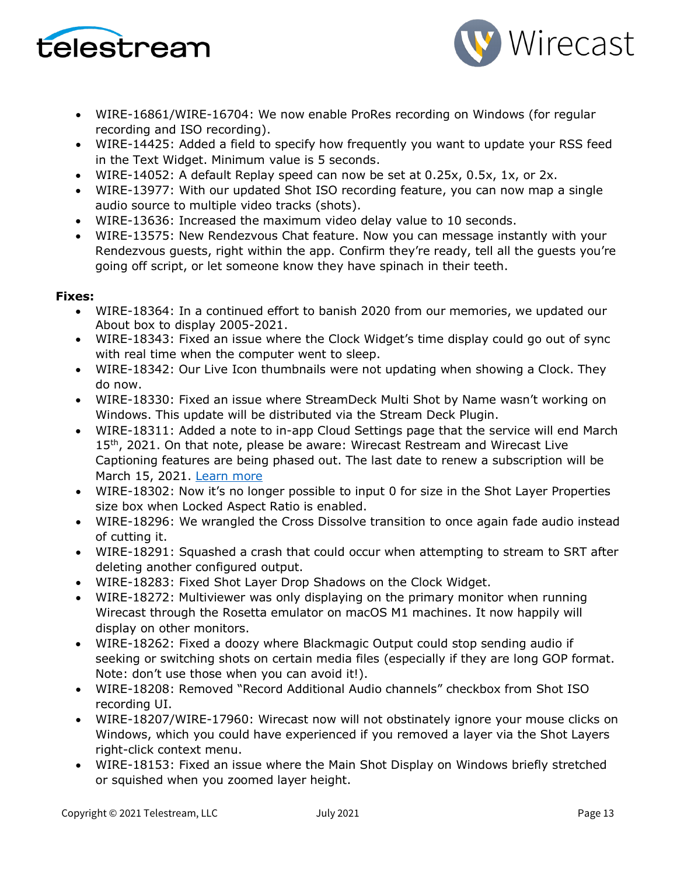



- WIRE-16861/WIRE-16704: We now enable ProRes recording on Windows (for regular recording and ISO recording).
- WIRE-14425: Added a field to specify how frequently you want to update your RSS feed in the Text Widget. Minimum value is 5 seconds.
- WIRE-14052: A default Replay speed can now be set at 0.25x, 0.5x, 1x, or 2x.
- WIRE-13977: With our updated Shot ISO recording feature, you can now map a single audio source to multiple video tracks (shots).
- WIRE-13636: Increased the maximum video delay value to 10 seconds.
- WIRE-13575: New Rendezvous Chat feature. Now you can message instantly with your Rendezvous guests, right within the app. Confirm they're ready, tell all the guests you're going off script, or let someone know they have spinach in their teeth.

#### **Fixes:**

- WIRE-18364: In a continued effort to banish 2020 from our memories, we updated our About box to display 2005-2021.
- WIRE-18343: Fixed an issue where the Clock Widget's time display could go out of sync with real time when the computer went to sleep.
- WIRE-18342: Our Live Icon thumbnails were not updating when showing a Clock. They do now.
- WIRE-18330: Fixed an issue where StreamDeck Multi Shot by Name wasn't working on Windows. This update will be distributed via the Stream Deck Plugin.
- WIRE-18311: Added a note to in-app Cloud Settings page that the service will end March 15<sup>th</sup>, 2021. On that note, please be aware: Wirecast Restream and Wirecast Live Captioning features are being phased out. The last date to renew a subscription will be March 15, 2021. [Learn more](http://www.telestream.net/telestream-support/wire-cast/faq.htm?kbURL=http://telestream.force.com/kb/articles/Knowledge_Article/Wirecast-Web-Services-Restream-Closed-Caption-Announcement)
- WIRE-18302: Now it's no longer possible to input 0 for size in the Shot Layer Properties size box when Locked Aspect Ratio is enabled.
- WIRE-18296: We wrangled the Cross Dissolve transition to once again fade audio instead of cutting it.
- WIRE-18291: Squashed a crash that could occur when attempting to stream to SRT after deleting another configured output.
- WIRE-18283: Fixed Shot Layer Drop Shadows on the Clock Widget.
- WIRE-18272: Multiviewer was only displaying on the primary monitor when running Wirecast through the Rosetta emulator on macOS M1 machines. It now happily will display on other monitors.
- WIRE-18262: Fixed a doozy where Blackmagic Output could stop sending audio if seeking or switching shots on certain media files (especially if they are long GOP format. Note: don't use those when you can avoid it!).
- WIRE-18208: Removed "Record Additional Audio channels" checkbox from Shot ISO recording UI.
- WIRE-18207/WIRE-17960: Wirecast now will not obstinately ignore your mouse clicks on Windows, which you could have experienced if you removed a layer via the Shot Layers right-click context menu.
- WIRE-18153: Fixed an issue where the Main Shot Display on Windows briefly stretched or squished when you zoomed layer height.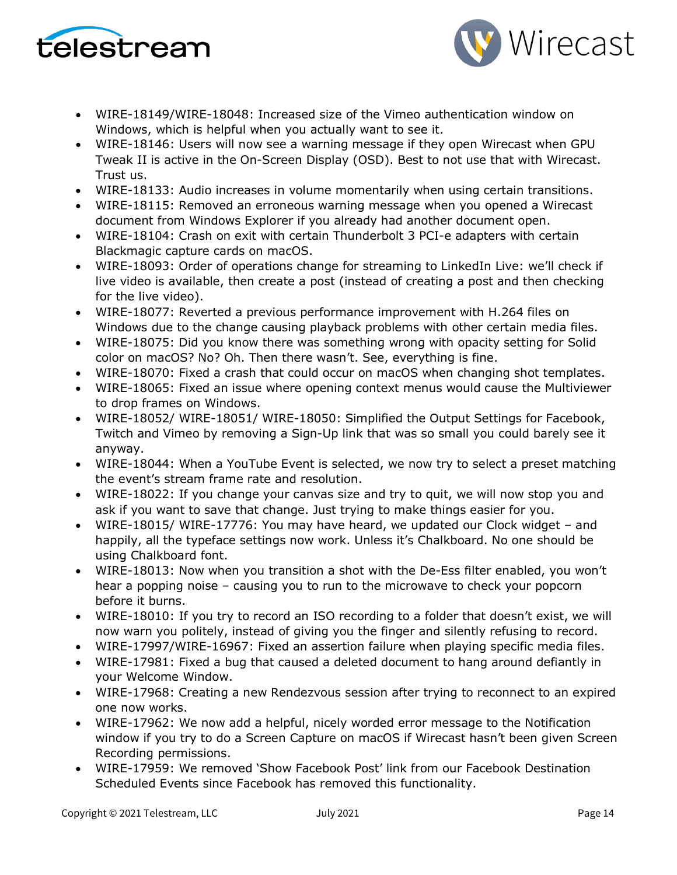



- WIRE-18149/WIRE-18048: Increased size of the Vimeo authentication window on Windows, which is helpful when you actually want to see it.
- WIRE-18146: Users will now see a warning message if they open Wirecast when GPU Tweak II is active in the On-Screen Display (OSD). Best to not use that with Wirecast. Trust us.
- WIRE-18133: Audio increases in volume momentarily when using certain transitions.
- WIRE-18115: Removed an erroneous warning message when you opened a Wirecast document from Windows Explorer if you already had another document open.
- WIRE-18104: Crash on exit with certain Thunderbolt 3 PCI-e adapters with certain Blackmagic capture cards on macOS.
- WIRE-18093: Order of operations change for streaming to LinkedIn Live: we'll check if live video is available, then create a post (instead of creating a post and then checking for the live video).
- WIRE-18077: Reverted a previous performance improvement with H.264 files on Windows due to the change causing playback problems with other certain media files.
- WIRE-18075: Did you know there was something wrong with opacity setting for Solid color on macOS? No? Oh. Then there wasn't. See, everything is fine.
- WIRE-18070: Fixed a crash that could occur on macOS when changing shot templates.
- WIRE-18065: Fixed an issue where opening context menus would cause the Multiviewer to drop frames on Windows.
- WIRE-18052/ WIRE-18051/ WIRE-18050: Simplified the Output Settings for Facebook, Twitch and Vimeo by removing a Sign-Up link that was so small you could barely see it anyway.
- WIRE-18044: When a YouTube Event is selected, we now try to select a preset matching the event's stream frame rate and resolution.
- WIRE-18022: If you change your canvas size and try to quit, we will now stop you and ask if you want to save that change. Just trying to make things easier for you.
- WIRE-18015/ WIRE-17776: You may have heard, we updated our Clock widget and happily, all the typeface settings now work. Unless it's Chalkboard. No one should be using Chalkboard font.
- WIRE-18013: Now when you transition a shot with the De-Ess filter enabled, you won't hear a popping noise – causing you to run to the microwave to check your popcorn before it burns.
- WIRE-18010: If you try to record an ISO recording to a folder that doesn't exist, we will now warn you politely, instead of giving you the finger and silently refusing to record.
- WIRE-17997/WIRE-16967: Fixed an assertion failure when playing specific media files.
- WIRE-17981: Fixed a bug that caused a deleted document to hang around defiantly in your Welcome Window.
- WIRE-17968: Creating a new Rendezvous session after trying to reconnect to an expired one now works.
- WIRE-17962: We now add a helpful, nicely worded error message to the Notification window if you try to do a Screen Capture on macOS if Wirecast hasn't been given Screen Recording permissions.
- WIRE-17959: We removed 'Show Facebook Post' link from our Facebook Destination Scheduled Events since Facebook has removed this functionality.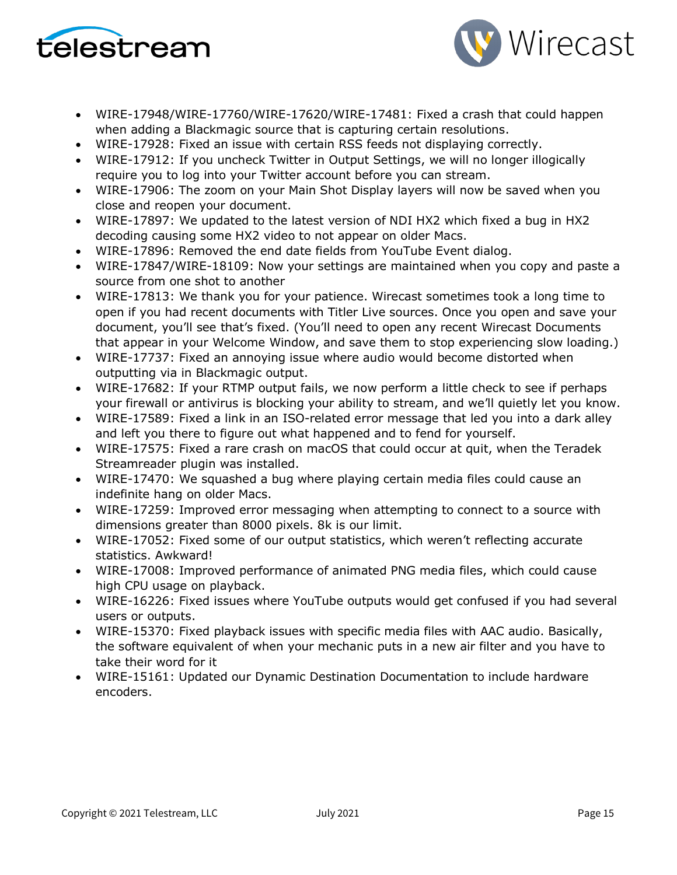



- WIRE-17948/WIRE-17760/WIRE-17620/WIRE-17481: Fixed a crash that could happen when adding a Blackmagic source that is capturing certain resolutions.
- WIRE-17928: Fixed an issue with certain RSS feeds not displaying correctly.
- WIRE-17912: If you uncheck Twitter in Output Settings, we will no longer illogically require you to log into your Twitter account before you can stream.
- WIRE-17906: The zoom on your Main Shot Display layers will now be saved when you close and reopen your document.
- WIRE-17897: We updated to the latest version of NDI HX2 which fixed a bug in HX2 decoding causing some HX2 video to not appear on older Macs.
- WIRE-17896: Removed the end date fields from YouTube Event dialog.
- WIRE-17847/WIRE-18109: Now your settings are maintained when you copy and paste a source from one shot to another
- WIRE-17813: We thank you for your patience. Wirecast sometimes took a long time to open if you had recent documents with Titler Live sources. Once you open and save your document, you'll see that's fixed. (You'll need to open any recent Wirecast Documents that appear in your Welcome Window, and save them to stop experiencing slow loading.)
- WIRE-17737: Fixed an annoying issue where audio would become distorted when outputting via in Blackmagic output.
- WIRE-17682: If your RTMP output fails, we now perform a little check to see if perhaps your firewall or antivirus is blocking your ability to stream, and we'll quietly let you know.
- WIRE-17589: Fixed a link in an ISO-related error message that led you into a dark alley and left you there to figure out what happened and to fend for yourself.
- WIRE-17575: Fixed a rare crash on macOS that could occur at quit, when the Teradek Streamreader plugin was installed.
- WIRE-17470: We squashed a bug where playing certain media files could cause an indefinite hang on older Macs.
- WIRE-17259: Improved error messaging when attempting to connect to a source with dimensions greater than 8000 pixels. 8k is our limit.
- WIRE-17052: Fixed some of our output statistics, which weren't reflecting accurate statistics. Awkward!
- WIRE-17008: Improved performance of animated PNG media files, which could cause high CPU usage on playback.
- WIRE-16226: Fixed issues where YouTube outputs would get confused if you had several users or outputs.
- WIRE-15370: Fixed playback issues with specific media files with AAC audio. Basically, the software equivalent of when your mechanic puts in a new air filter and you have to take their word for it
- WIRE-15161: Updated our Dynamic Destination Documentation to include hardware encoders.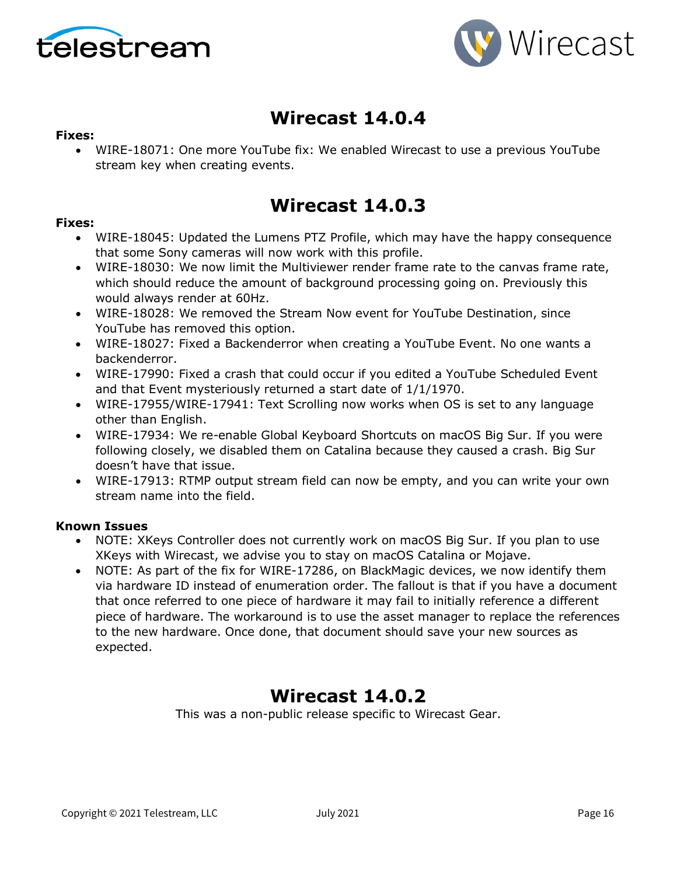



## **Wirecast 14.0.4**

#### **Fixes:**

• WIRE-18071: One more YouTube fix: We enabled Wirecast to use a previous YouTube stream key when creating events.

### **Wirecast 14.0.3**

#### **Fixes:**

- WIRE-18045: Updated the Lumens PTZ Profile, which may have the happy consequence that some Sony cameras will now work with this profile.
- WIRE-18030: We now limit the Multiviewer render frame rate to the canvas frame rate, which should reduce the amount of background processing going on. Previously this would always render at 60Hz.
- WIRE-18028: We removed the Stream Now event for YouTube Destination, since YouTube has removed this option.
- WIRE-18027: Fixed a Backenderror when creating a YouTube Event. No one wants a backenderror.
- WIRE-17990: Fixed a crash that could occur if you edited a YouTube Scheduled Event and that Event mysteriously returned a start date of 1/1/1970.
- WIRE-17955/WIRE-17941: Text Scrolling now works when OS is set to any language other than English.
- WIRE-17934: We re-enable Global Keyboard Shortcuts on macOS Big Sur. If you were following closely, we disabled them on Catalina because they caused a crash. Big Sur doesn't have that issue.
- WIRE-17913: RTMP output stream field can now be empty, and you can write your own stream name into the field.

#### **Known Issues**

- NOTE: XKeys Controller does not currently work on macOS Big Sur. If you plan to use XKeys with Wirecast, we advise you to stay on macOS Catalina or Mojave.
- NOTE: As part of the fix for WIRE-17286, on BlackMagic devices, we now identify them via hardware ID instead of enumeration order. The fallout is that if you have a document that once referred to one piece of hardware it may fail to initially reference a different piece of hardware. The workaround is to use the asset manager to replace the references to the new hardware. Once done, that document should save your new sources as expected.

### **Wirecast 14.0.2**

This was a non-public release specific to Wirecast Gear.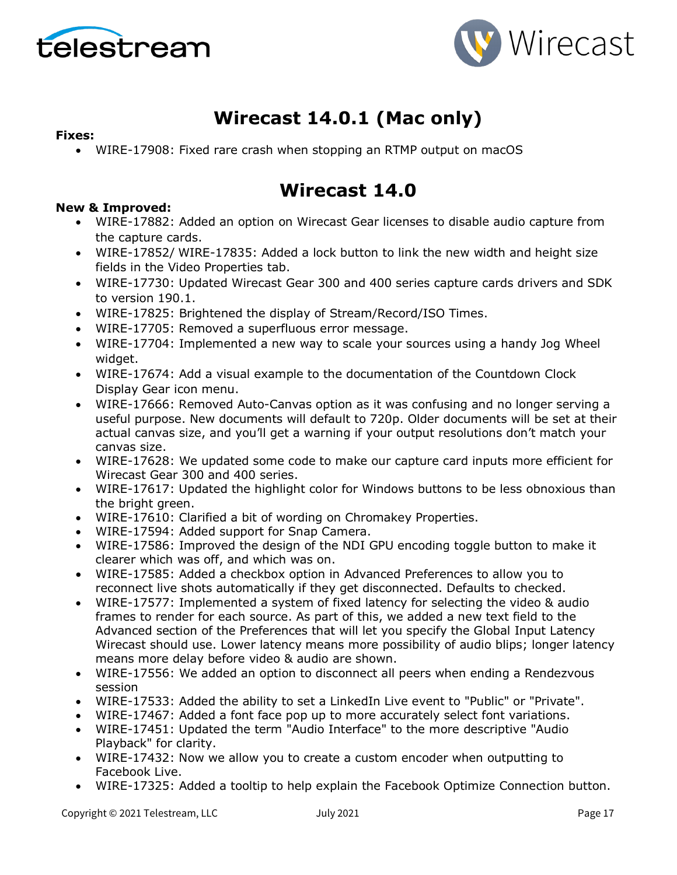



# **Wirecast 14.0.1 (Mac only)**

#### **Fixes:**

• WIRE-17908: Fixed rare crash when stopping an RTMP output on macOS

### **Wirecast 14.0**

#### **New & Improved:**

- WIRE-17882: Added an option on Wirecast Gear licenses to disable audio capture from the capture cards.
- WIRE-17852/ WIRE-17835: Added a lock button to link the new width and height size fields in the Video Properties tab.
- WIRE-17730: Updated Wirecast Gear 300 and 400 series capture cards drivers and SDK to version 190.1.
- WIRE-17825: Brightened the display of Stream/Record/ISO Times.
- WIRE-17705: Removed a superfluous error message.
- WIRE-17704: Implemented a new way to scale your sources using a handy Jog Wheel widget.
- WIRE-17674: Add a visual example to the documentation of the Countdown Clock Display Gear icon menu.
- WIRE-17666: Removed Auto-Canvas option as it was confusing and no longer serving a useful purpose. New documents will default to 720p. Older documents will be set at their actual canvas size, and you'll get a warning if your output resolutions don't match your canvas size.
- WIRE-17628: We updated some code to make our capture card inputs more efficient for Wirecast Gear 300 and 400 series.
- WIRE-17617: Updated the highlight color for Windows buttons to be less obnoxious than the bright green.
- WIRE-17610: Clarified a bit of wording on Chromakey Properties.
- WIRE-17594: Added support for Snap Camera.
- WIRE-17586: Improved the design of the NDI GPU encoding toggle button to make it clearer which was off, and which was on.
- WIRE-17585: Added a checkbox option in Advanced Preferences to allow you to reconnect live shots automatically if they get disconnected. Defaults to checked.
- WIRE-17577: Implemented a system of fixed latency for selecting the video & audio frames to render for each source. As part of this, we added a new text field to the Advanced section of the Preferences that will let you specify the Global Input Latency Wirecast should use. Lower latency means more possibility of audio blips; longer latency means more delay before video & audio are shown.
- WIRE-17556: We added an option to disconnect all peers when ending a Rendezvous session
- WIRE-17533: Added the ability to set a LinkedIn Live event to "Public" or "Private".
- WIRE-17467: Added a font face pop up to more accurately select font variations.
- WIRE-17451: Updated the term "Audio Interface" to the more descriptive "Audio Playback" for clarity.
- WIRE-17432: Now we allow you to create a custom encoder when outputting to Facebook Live.
- WIRE-17325: Added a tooltip to help explain the Facebook Optimize Connection button.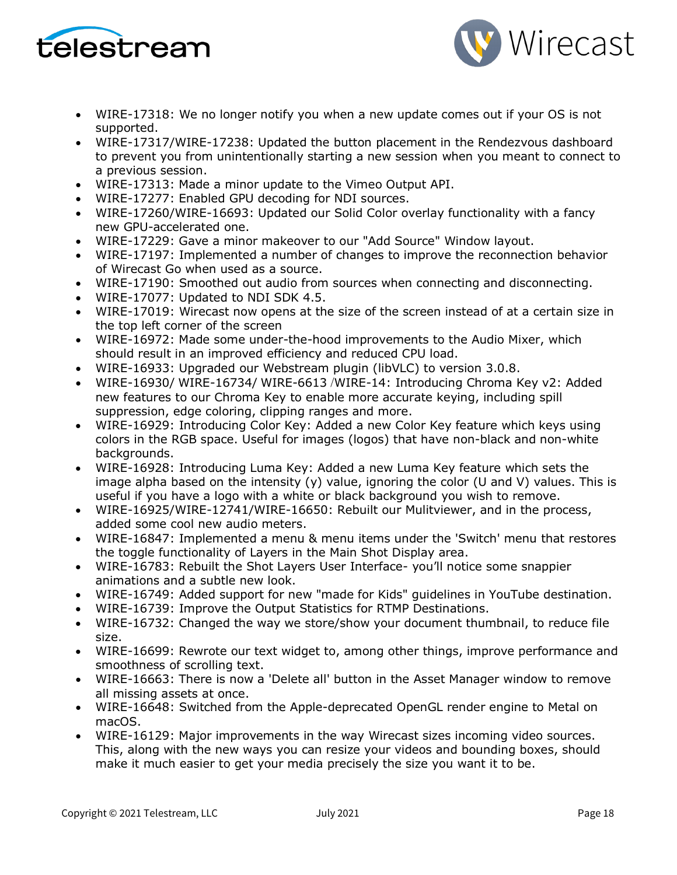



- WIRE-17318: We no longer notify you when a new update comes out if your OS is not supported.
- WIRE-17317/WIRE-17238: Updated the button placement in the Rendezvous dashboard to prevent you from unintentionally starting a new session when you meant to connect to a previous session.
- WIRE-17313: Made a minor update to the Vimeo Output API.
- WIRE-17277: Enabled GPU decoding for NDI sources.
- WIRE-17260/WIRE-16693: Updated our Solid Color overlay functionality with a fancy new GPU-accelerated one.
- WIRE-17229: Gave a minor makeover to our "Add Source" Window layout.
- WIRE-17197: Implemented a number of changes to improve the reconnection behavior of Wirecast Go when used as a source.
- WIRE-17190: Smoothed out audio from sources when connecting and disconnecting.
- WIRE-17077: Updated to NDI SDK 4.5.
- WIRE-17019: Wirecast now opens at the size of the screen instead of at a certain size in the top left corner of the screen
- WIRE-16972: Made some under-the-hood improvements to the Audio Mixer, which should result in an improved efficiency and reduced CPU load.
- WIRE-16933: Upgraded our Webstream plugin (libVLC) to version 3.0.8.
- WIRE-16930/ WIRE-16734/ WIRE-6613 /WIRE-14: Introducing Chroma Key v2: Added new features to our Chroma Key to enable more accurate keying, including spill suppression, edge coloring, clipping ranges and more.
- WIRE-16929: Introducing Color Key: Added a new Color Key feature which keys using colors in the RGB space. Useful for images (logos) that have non-black and non-white backgrounds.
- WIRE-16928: Introducing Luma Key: Added a new Luma Key feature which sets the image alpha based on the intensity (y) value, ignoring the color (U and V) values. This is useful if you have a logo with a white or black background you wish to remove.
- WIRE-16925/WIRE-12741/WIRE-16650: Rebuilt our Mulitviewer, and in the process, added some cool new audio meters.
- WIRE-16847: Implemented a menu & menu items under the 'Switch' menu that restores the toggle functionality of Layers in the Main Shot Display area.
- WIRE-16783: Rebuilt the Shot Layers User Interface- you'll notice some snappier animations and a subtle new look.
- WIRE-16749: Added support for new "made for Kids" guidelines in YouTube destination.
- WIRE-16739: Improve the Output Statistics for RTMP Destinations.
- WIRE-16732: Changed the way we store/show your document thumbnail, to reduce file size.
- WIRE-16699: Rewrote our text widget to, among other things, improve performance and smoothness of scrolling text.
- WIRE-16663: There is now a 'Delete all' button in the Asset Manager window to remove all missing assets at once.
- WIRE-16648: Switched from the Apple-deprecated OpenGL render engine to Metal on macOS.
- WIRE-16129: Major improvements in the way Wirecast sizes incoming video sources. This, along with the new ways you can resize your videos and bounding boxes, should make it much easier to get your media precisely the size you want it to be.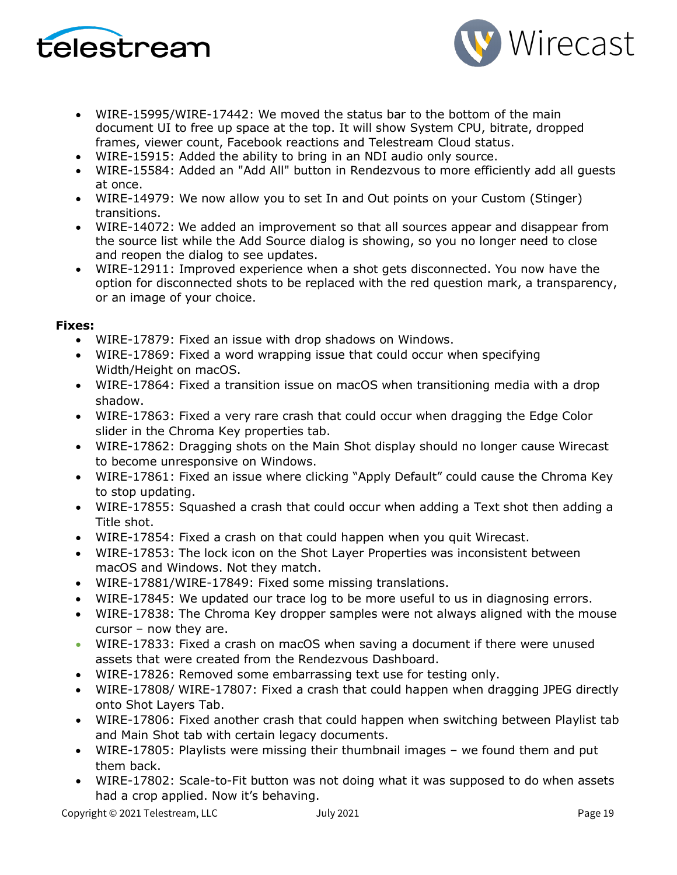



- WIRE-15995/WIRE-17442: We moved the status bar to the bottom of the main document UI to free up space at the top. It will show System CPU, bitrate, dropped frames, viewer count, Facebook reactions and Telestream Cloud status.
- WIRE-15915: Added the ability to bring in an NDI audio only source.
- WIRE-15584: Added an "Add All" button in Rendezvous to more efficiently add all guests at once.
- WIRE-14979: We now allow you to set In and Out points on your Custom (Stinger) transitions.
- WIRE-14072: We added an improvement so that all sources appear and disappear from the source list while the Add Source dialog is showing, so you no longer need to close and reopen the dialog to see updates.
- WIRE-12911: Improved experience when a shot gets disconnected. You now have the option for disconnected shots to be replaced with the red question mark, a transparency, or an image of your choice.

#### **Fixes:**

- WIRE-17879: Fixed an issue with drop shadows on Windows.
- WIRE-17869: Fixed a word wrapping issue that could occur when specifying Width/Height on macOS.
- WIRE-17864: Fixed a transition issue on macOS when transitioning media with a drop shadow.
- WIRE-17863: Fixed a very rare crash that could occur when dragging the Edge Color slider in the Chroma Key properties tab.
- WIRE-17862: Dragging shots on the Main Shot display should no longer cause Wirecast to become unresponsive on Windows.
- WIRE-17861: Fixed an issue where clicking "Apply Default" could cause the Chroma Key to stop updating.
- WIRE-17855: Squashed a crash that could occur when adding a Text shot then adding a Title shot.
- WIRE-17854: Fixed a crash on that could happen when you quit Wirecast.
- WIRE-17853: The lock icon on the Shot Layer Properties was inconsistent between macOS and Windows. Not they match.
- WIRE-17881/WIRE-17849: Fixed some missing translations.
- WIRE-17845: We updated our trace log to be more useful to us in diagnosing errors.
- WIRE-17838: The Chroma Key dropper samples were not always aligned with the mouse cursor – now they are.
- WIRE-17833: Fixed a crash on macOS when saving a document if there were unused assets that were created from the Rendezvous Dashboard.
- WIRE-17826: Removed some embarrassing text use for testing only.
- WIRE-17808/ WIRE-17807: Fixed a crash that could happen when dragging JPEG directly onto Shot Layers Tab.
- WIRE-17806: Fixed another crash that could happen when switching between Playlist tab and Main Shot tab with certain legacy documents.
- WIRE-17805: Playlists were missing their thumbnail images we found them and put them back.
- WIRE-17802: Scale-to-Fit button was not doing what it was supposed to do when assets had a crop applied. Now it's behaving.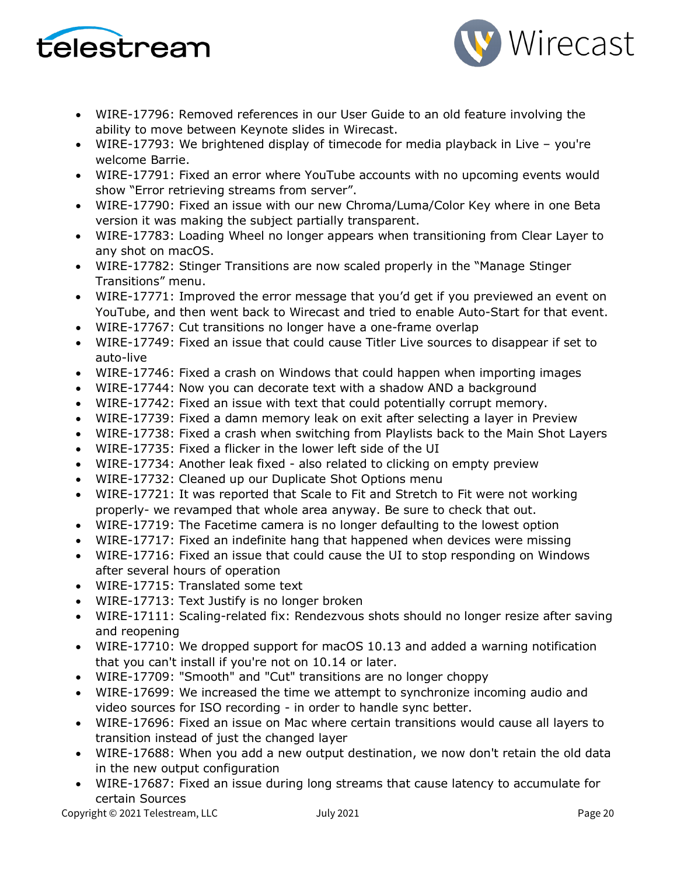



- WIRE-17796: Removed references in our User Guide to an old feature involving the ability to move between Keynote slides in Wirecast.
- WIRE-17793: We brightened display of timecode for media playback in Live you're welcome Barrie.
- WIRE-17791: Fixed an error where YouTube accounts with no upcoming events would show "Error retrieving streams from server".
- WIRE-17790: Fixed an issue with our new Chroma/Luma/Color Key where in one Beta version it was making the subject partially transparent.
- WIRE-17783: Loading Wheel no longer appears when transitioning from Clear Layer to any shot on macOS.
- WIRE-17782: Stinger Transitions are now scaled properly in the "Manage Stinger Transitions" menu.
- WIRE-17771: Improved the error message that you'd get if you previewed an event on YouTube, and then went back to Wirecast and tried to enable Auto-Start for that event.
- WIRE-17767: Cut transitions no longer have a one-frame overlap
- WIRE-17749: Fixed an issue that could cause Titler Live sources to disappear if set to auto-live
- WIRE-17746: Fixed a crash on Windows that could happen when importing images
- WIRE-17744: Now you can decorate text with a shadow AND a background
- WIRE-17742: Fixed an issue with text that could potentially corrupt memory.
- WIRE-17739: Fixed a damn memory leak on exit after selecting a layer in Preview
- WIRE-17738: Fixed a crash when switching from Playlists back to the Main Shot Layers
- WIRE-17735: Fixed a flicker in the lower left side of the UI
- WIRE-17734: Another leak fixed also related to clicking on empty preview
- WIRE-17732: Cleaned up our Duplicate Shot Options menu
- WIRE-17721: It was reported that Scale to Fit and Stretch to Fit were not working properly- we revamped that whole area anyway. Be sure to check that out.
- WIRE-17719: The Facetime camera is no longer defaulting to the lowest option
- WIRE-17717: Fixed an indefinite hang that happened when devices were missing
- WIRE-17716: Fixed an issue that could cause the UI to stop responding on Windows after several hours of operation
- WIRE-17715: Translated some text
- WIRE-17713: Text Justify is no longer broken
- WIRE-17111: Scaling-related fix: Rendezvous shots should no longer resize after saving and reopening
- WIRE-17710: We dropped support for macOS 10.13 and added a warning notification that you can't install if you're not on 10.14 or later.
- WIRE-17709: "Smooth" and "Cut" transitions are no longer choppy
- WIRE-17699: We increased the time we attempt to synchronize incoming audio and video sources for ISO recording - in order to handle sync better.
- WIRE-17696: Fixed an issue on Mac where certain transitions would cause all layers to transition instead of just the changed layer
- WIRE-17688: When you add a new output destination, we now don't retain the old data in the new output configuration
- WIRE-17687: Fixed an issue during long streams that cause latency to accumulate for certain Sources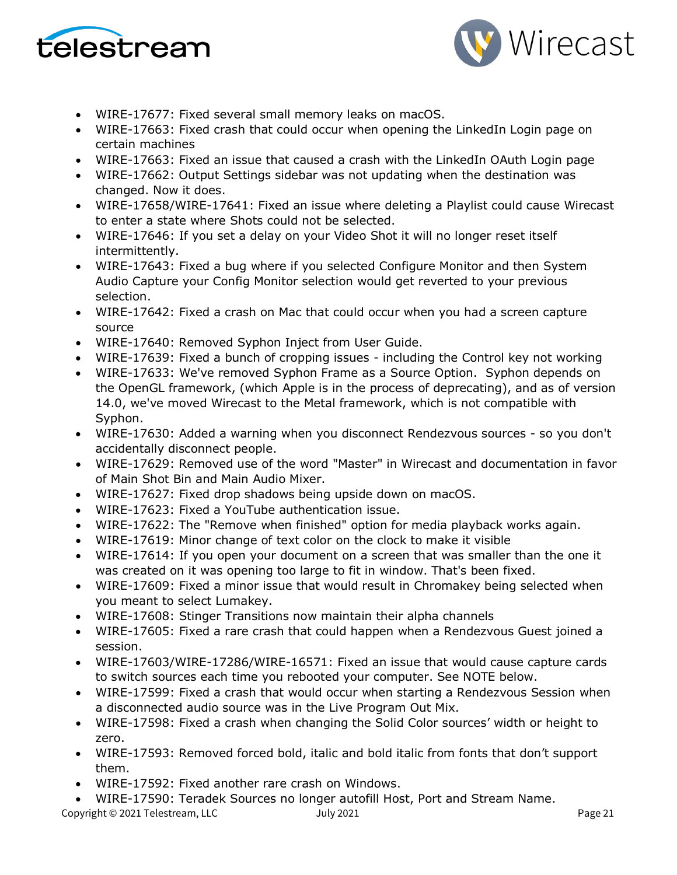



- WIRE-17677: Fixed several small memory leaks on macOS.
- WIRE-17663: Fixed crash that could occur when opening the LinkedIn Login page on certain machines
- WIRE-17663: Fixed an issue that caused a crash with the LinkedIn OAuth Login page
- WIRE-17662: Output Settings sidebar was not updating when the destination was changed. Now it does.
- WIRE-17658/WIRE-17641: Fixed an issue where deleting a Playlist could cause Wirecast to enter a state where Shots could not be selected.
- WIRE-17646: If you set a delay on your Video Shot it will no longer reset itself intermittently.
- WIRE-17643: Fixed a bug where if you selected Configure Monitor and then System Audio Capture your Config Monitor selection would get reverted to your previous selection.
- WIRE-17642: Fixed a crash on Mac that could occur when you had a screen capture source
- WIRE-17640: Removed Syphon Inject from User Guide.
- WIRE-17639: Fixed a bunch of cropping issues including the Control key not working
- WIRE-17633: We've removed Syphon Frame as a Source Option. Syphon depends on the OpenGL framework, (which Apple is in the process of deprecating), and as of version 14.0, we've moved Wirecast to the Metal framework, which is not compatible with Syphon.
- WIRE-17630: Added a warning when you disconnect Rendezvous sources so you don't accidentally disconnect people.
- WIRE-17629: Removed use of the word "Master" in Wirecast and documentation in favor of Main Shot Bin and Main Audio Mixer.
- WIRE-17627: Fixed drop shadows being upside down on macOS.
- WIRE-17623: Fixed a YouTube authentication issue.
- WIRE-17622: The "Remove when finished" option for media playback works again.
- WIRE-17619: Minor change of text color on the clock to make it visible
- WIRE-17614: If you open your document on a screen that was smaller than the one it was created on it was opening too large to fit in window. That's been fixed.
- WIRE-17609: Fixed a minor issue that would result in Chromakey being selected when you meant to select Lumakey.
- WIRE-17608: Stinger Transitions now maintain their alpha channels
- WIRE-17605: Fixed a rare crash that could happen when a Rendezvous Guest joined a session.
- WIRE-17603/WIRE-17286/WIRE-16571: Fixed an issue that would cause capture cards to switch sources each time you rebooted your computer. See NOTE below.
- WIRE-17599: Fixed a crash that would occur when starting a Rendezvous Session when a disconnected audio source was in the Live Program Out Mix.
- WIRE-17598: Fixed a crash when changing the Solid Color sources' width or height to zero.
- WIRE-17593: Removed forced bold, italic and bold italic from fonts that don't support them.
- WIRE-17592: Fixed another rare crash on Windows.
- WIRE-17590: Teradek Sources no longer autofill Host, Port and Stream Name.

Copyright © 2021 Telestream, LLC and Muly 2021 Department of the Page 21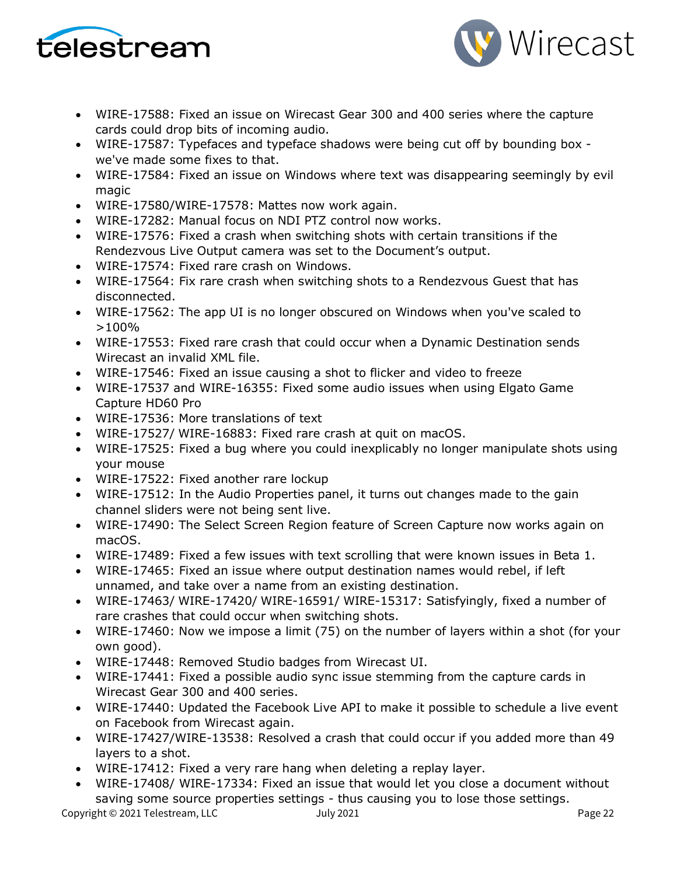



- WIRE-17588: Fixed an issue on Wirecast Gear 300 and 400 series where the capture cards could drop bits of incoming audio.
- WIRE-17587: Typefaces and typeface shadows were being cut off by bounding box we've made some fixes to that.
- WIRE-17584: Fixed an issue on Windows where text was disappearing seemingly by evil magic
- WIRE-17580/WIRE-17578: Mattes now work again.
- WIRE-17282: Manual focus on NDI PTZ control now works.
- WIRE-17576: Fixed a crash when switching shots with certain transitions if the Rendezvous Live Output camera was set to the Document's output.
- WIRE-17574: Fixed rare crash on Windows.
- WIRE-17564: Fix rare crash when switching shots to a Rendezvous Guest that has disconnected.
- WIRE-17562: The app UI is no longer obscured on Windows when you've scaled to >100%
- WIRE-17553: Fixed rare crash that could occur when a Dynamic Destination sends Wirecast an invalid XML file.
- WIRE-17546: Fixed an issue causing a shot to flicker and video to freeze
- WIRE-17537 and WIRE-16355: Fixed some audio issues when using Elgato Game Capture HD60 Pro
- WIRE-17536: More translations of text
- WIRE-17527/ WIRE-16883: Fixed rare crash at quit on macOS.
- WIRE-17525: Fixed a bug where you could inexplicably no longer manipulate shots using your mouse
- WIRE-17522: Fixed another rare lockup
- WIRE-17512: In the Audio Properties panel, it turns out changes made to the gain channel sliders were not being sent live.
- WIRE-17490: The Select Screen Region feature of Screen Capture now works again on macOS.
- WIRE-17489: Fixed a few issues with text scrolling that were known issues in Beta 1.
- WIRE-17465: Fixed an issue where output destination names would rebel, if left unnamed, and take over a name from an existing destination.
- WIRE-17463/ WIRE-17420/ WIRE-16591/ WIRE-15317: Satisfyingly, fixed a number of rare crashes that could occur when switching shots.
- WIRE-17460: Now we impose a limit (75) on the number of layers within a shot (for your own good).
- WIRE-17448: Removed Studio badges from Wirecast UI.
- WIRE-17441: Fixed a possible audio sync issue stemming from the capture cards in Wirecast Gear 300 and 400 series.
- WIRE-17440: Updated the Facebook Live API to make it possible to schedule a live event on Facebook from Wirecast again.
- WIRE-17427/WIRE-13538: Resolved a crash that could occur if you added more than 49 layers to a shot.
- WIRE-17412: Fixed a very rare hang when deleting a replay layer.
- WIRE-17408/ WIRE-17334: Fixed an issue that would let you close a document without saving some source properties settings - thus causing you to lose those settings.

Copyright © 2021 Telestream, LLC July 2021 Page 22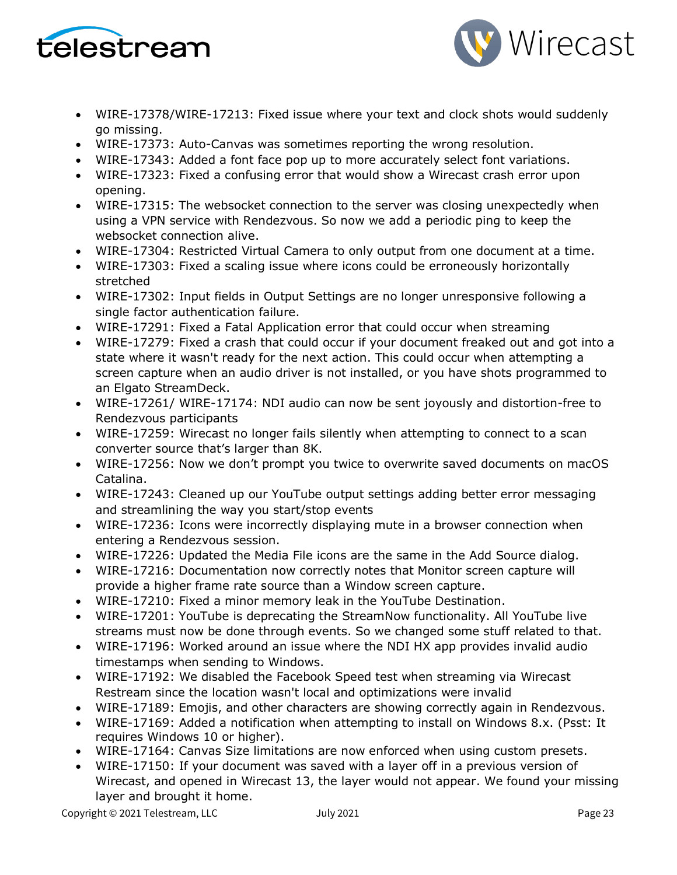



- WIRE-17378/WIRE-17213: Fixed issue where your text and clock shots would suddenly go missing.
- WIRE-17373: Auto-Canvas was sometimes reporting the wrong resolution.
- WIRE-17343: Added a font face pop up to more accurately select font variations.
- WIRE-17323: Fixed a confusing error that would show a Wirecast crash error upon opening.
- WIRE-17315: The websocket connection to the server was closing unexpectedly when using a VPN service with Rendezvous. So now we add a periodic ping to keep the websocket connection alive.
- WIRE-17304: Restricted Virtual Camera to only output from one document at a time.
- WIRE-17303: Fixed a scaling issue where icons could be erroneously horizontally stretched
- WIRE-17302: Input fields in Output Settings are no longer unresponsive following a single factor authentication failure.
- WIRE-17291: Fixed a Fatal Application error that could occur when streaming
- WIRE-17279: Fixed a crash that could occur if your document freaked out and got into a state where it wasn't ready for the next action. This could occur when attempting a screen capture when an audio driver is not installed, or you have shots programmed to an Elgato StreamDeck.
- WIRE-17261/ WIRE-17174: NDI audio can now be sent joyously and distortion-free to Rendezvous participants
- WIRE-17259: Wirecast no longer fails silently when attempting to connect to a scan converter source that's larger than 8K.
- WIRE-17256: Now we don't prompt you twice to overwrite saved documents on macOS Catalina.
- WIRE-17243: Cleaned up our YouTube output settings adding better error messaging and streamlining the way you start/stop events
- WIRE-17236: Icons were incorrectly displaying mute in a browser connection when entering a Rendezvous session.
- WIRE-17226: Updated the Media File icons are the same in the Add Source dialog.
- WIRE-17216: Documentation now correctly notes that Monitor screen capture will provide a higher frame rate source than a Window screen capture.
- WIRE-17210: Fixed a minor memory leak in the YouTube Destination.
- WIRE-17201: YouTube is deprecating the StreamNow functionality. All YouTube live streams must now be done through events. So we changed some stuff related to that.
- WIRE-17196: Worked around an issue where the NDI HX app provides invalid audio timestamps when sending to Windows.
- WIRE-17192: We disabled the Facebook Speed test when streaming via Wirecast Restream since the location wasn't local and optimizations were invalid
- WIRE-17189: Emojis, and other characters are showing correctly again in Rendezvous.
- WIRE-17169: Added a notification when attempting to install on Windows 8.x. (Psst: It requires Windows 10 or higher).
- WIRE-17164: Canvas Size limitations are now enforced when using custom presets.
- WIRE-17150: If your document was saved with a layer off in a previous version of Wirecast, and opened in Wirecast 13, the layer would not appear. We found your missing layer and brought it home.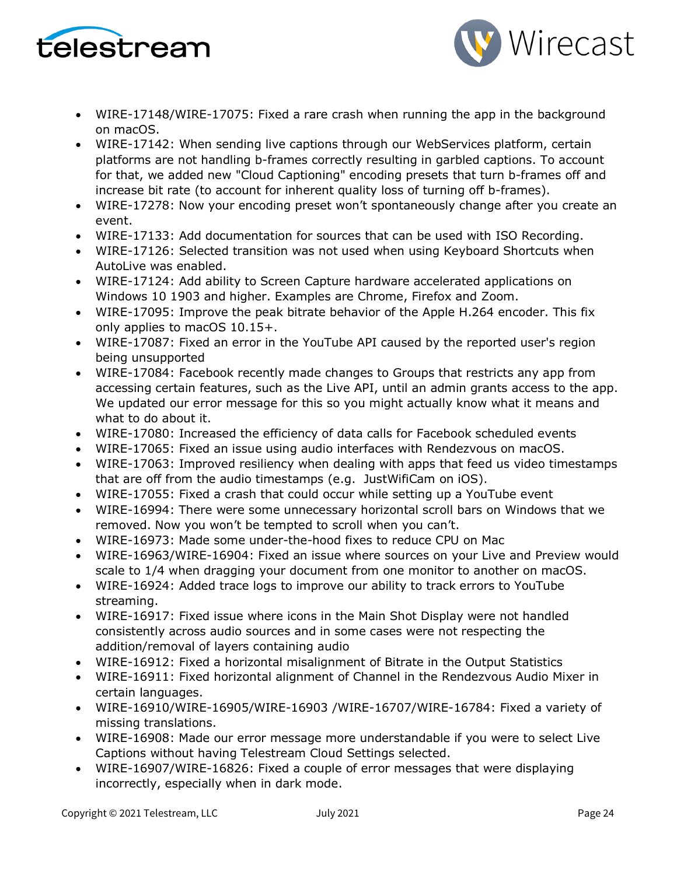



- WIRE-17148/WIRE-17075: Fixed a rare crash when running the app in the background on macOS.
- WIRE-17142: When sending live captions through our WebServices platform, certain platforms are not handling b-frames correctly resulting in garbled captions. To account for that, we added new "Cloud Captioning" encoding presets that turn b-frames off and increase bit rate (to account for inherent quality loss of turning off b-frames).
- WIRE-17278: Now your encoding preset won't spontaneously change after you create an event.
- WIRE-17133: Add documentation for sources that can be used with ISO Recording.
- WIRE-17126: Selected transition was not used when using Keyboard Shortcuts when AutoLive was enabled.
- WIRE-17124: Add ability to Screen Capture hardware accelerated applications on Windows 10 1903 and higher. Examples are Chrome, Firefox and Zoom.
- WIRE-17095: Improve the peak bitrate behavior of the Apple H.264 encoder. This fix only applies to macOS 10.15+.
- WIRE-17087: Fixed an error in the YouTube API caused by the reported user's region being unsupported
- WIRE-17084: Facebook recently made changes to Groups that restricts any app from accessing certain features, such as the Live API, until an admin grants access to the app. We updated our error message for this so you might actually know what it means and what to do about it.
- WIRE-17080: Increased the efficiency of data calls for Facebook scheduled events
- WIRE-17065: Fixed an issue using audio interfaces with Rendezvous on macOS.
- WIRE-17063: Improved resiliency when dealing with apps that feed us video timestamps that are off from the audio timestamps (e.g. JustWifiCam on iOS).
- WIRE-17055: Fixed a crash that could occur while setting up a YouTube event
- WIRE-16994: There were some unnecessary horizontal scroll bars on Windows that we removed. Now you won't be tempted to scroll when you can't.
- WIRE-16973: Made some under-the-hood fixes to reduce CPU on Mac
- WIRE-16963/WIRE-16904: Fixed an issue where sources on your Live and Preview would scale to 1/4 when dragging your document from one monitor to another on macOS.
- WIRE-16924: Added trace logs to improve our ability to track errors to YouTube streaming.
- WIRE-16917: Fixed issue where icons in the Main Shot Display were not handled consistently across audio sources and in some cases were not respecting the addition/removal of layers containing audio
- WIRE-16912: Fixed a horizontal misalignment of Bitrate in the Output Statistics
- WIRE-16911: Fixed horizontal alignment of Channel in the Rendezvous Audio Mixer in certain languages.
- WIRE-16910/WIRE-16905/WIRE-16903 /WIRE-16707/WIRE-16784: Fixed a variety of missing translations.
- WIRE-16908: Made our error message more understandable if you were to select Live Captions without having Telestream Cloud Settings selected.
- WIRE-16907/WIRE-16826: Fixed a couple of error messages that were displaying incorrectly, especially when in dark mode.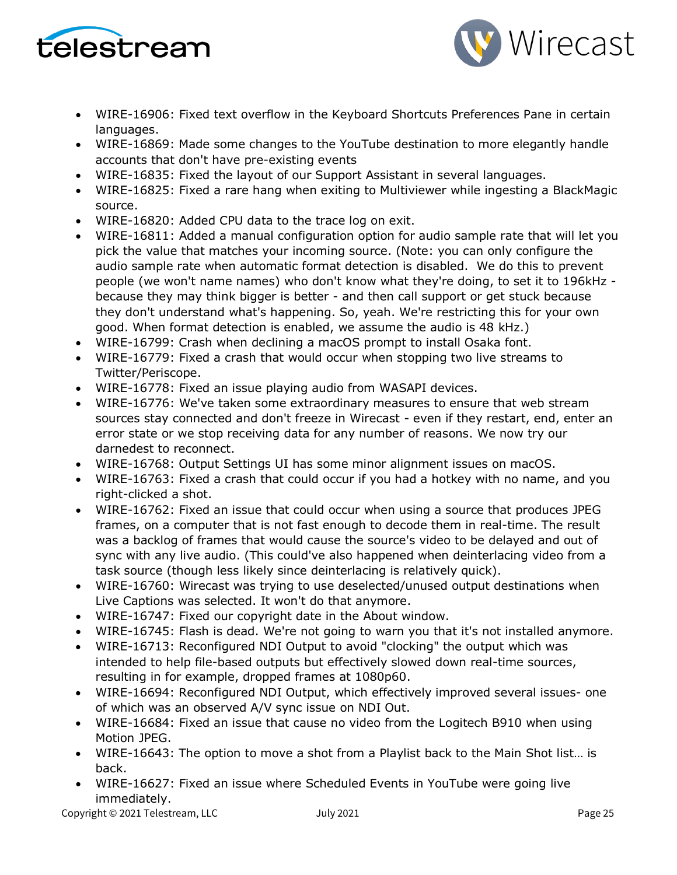



- WIRE-16906: Fixed text overflow in the Keyboard Shortcuts Preferences Pane in certain languages.
- WIRE-16869: Made some changes to the YouTube destination to more elegantly handle accounts that don't have pre-existing events
- WIRE-16835: Fixed the layout of our Support Assistant in several languages.
- WIRE-16825: Fixed a rare hang when exiting to Multiviewer while ingesting a BlackMagic source.
- WIRE-16820: Added CPU data to the trace log on exit.
- WIRE-16811: Added a manual configuration option for audio sample rate that will let you pick the value that matches your incoming source. (Note: you can only configure the audio sample rate when automatic format detection is disabled. We do this to prevent people (we won't name names) who don't know what they're doing, to set it to 196kHz because they may think bigger is better - and then call support or get stuck because they don't understand what's happening. So, yeah. We're restricting this for your own good. When format detection is enabled, we assume the audio is 48 kHz.)
- WIRE-16799: Crash when declining a macOS prompt to install Osaka font.
- WIRE-16779: Fixed a crash that would occur when stopping two live streams to Twitter/Periscope.
- WIRE-16778: Fixed an issue playing audio from WASAPI devices.
- WIRE-16776: We've taken some extraordinary measures to ensure that web stream sources stay connected and don't freeze in Wirecast - even if they restart, end, enter an error state or we stop receiving data for any number of reasons. We now try our darnedest to reconnect.
- WIRE-16768: Output Settings UI has some minor alignment issues on macOS.
- WIRE-16763: Fixed a crash that could occur if you had a hotkey with no name, and you right-clicked a shot.
- WIRE-16762: Fixed an issue that could occur when using a source that produces JPEG frames, on a computer that is not fast enough to decode them in real-time. The result was a backlog of frames that would cause the source's video to be delayed and out of sync with any live audio. (This could've also happened when deinterlacing video from a task source (though less likely since deinterlacing is relatively quick).
- WIRE-16760: Wirecast was trying to use deselected/unused output destinations when Live Captions was selected. It won't do that anymore.
- WIRE-16747: Fixed our copyright date in the About window.
- WIRE-16745: Flash is dead. We're not going to warn you that it's not installed anymore.
- WIRE-16713: Reconfigured NDI Output to avoid "clocking" the output which was intended to help file-based outputs but effectively slowed down real-time sources, resulting in for example, dropped frames at 1080p60.
- WIRE-16694: Reconfigured NDI Output, which effectively improved several issues- one of which was an observed A/V sync issue on NDI Out.
- WIRE-16684: Fixed an issue that cause no video from the Logitech B910 when using Motion JPEG.
- WIRE-16643: The option to move a shot from a Playlist back to the Main Shot list... is back.
- WIRE-16627: Fixed an issue where Scheduled Events in YouTube were going live immediately.

Copyright © 2021 Telestream, LLC July 2021 Page 25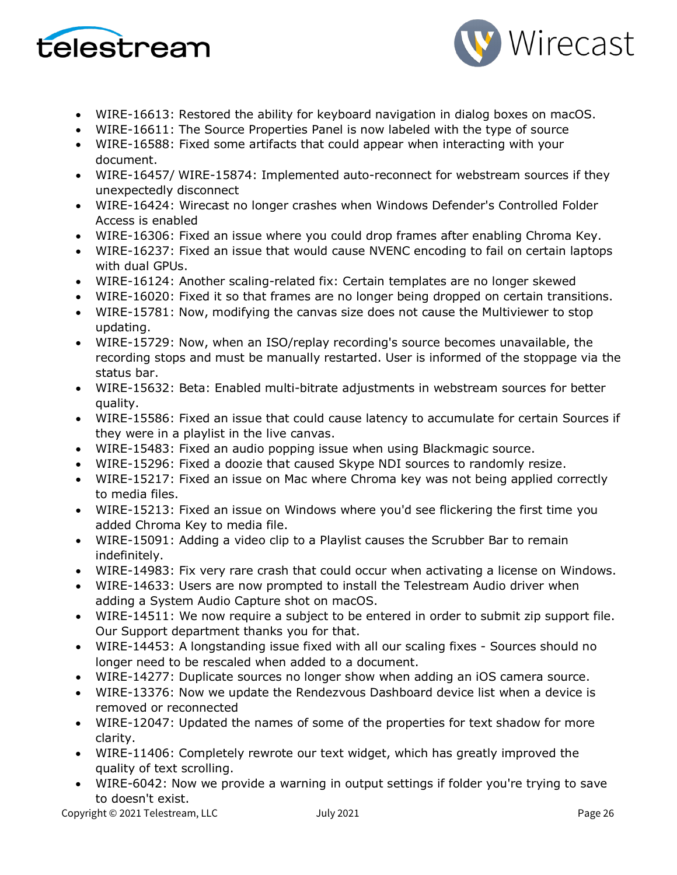



- WIRE-16613: Restored the ability for keyboard navigation in dialog boxes on macOS.
- WIRE-16611: The Source Properties Panel is now labeled with the type of source
- WIRE-16588: Fixed some artifacts that could appear when interacting with your document.
- WIRE-16457/ WIRE-15874: Implemented auto-reconnect for webstream sources if they unexpectedly disconnect
- WIRE-16424: Wirecast no longer crashes when Windows Defender's Controlled Folder Access is enabled
- WIRE-16306: Fixed an issue where you could drop frames after enabling Chroma Key.
- WIRE-16237: Fixed an issue that would cause NVENC encoding to fail on certain laptops with dual GPUs.
- WIRE-16124: Another scaling-related fix: Certain templates are no longer skewed
- WIRE-16020: Fixed it so that frames are no longer being dropped on certain transitions.
- WIRE-15781: Now, modifying the canvas size does not cause the Multiviewer to stop updating.
- WIRE-15729: Now, when an ISO/replay recording's source becomes unavailable, the recording stops and must be manually restarted. User is informed of the stoppage via the status bar.
- WIRE-15632: Beta: Enabled multi-bitrate adjustments in webstream sources for better quality.
- WIRE-15586: Fixed an issue that could cause latency to accumulate for certain Sources if they were in a playlist in the live canvas.
- WIRE-15483: Fixed an audio popping issue when using Blackmagic source.
- WIRE-15296: Fixed a doozie that caused Skype NDI sources to randomly resize.
- WIRE-15217: Fixed an issue on Mac where Chroma key was not being applied correctly to media files.
- WIRE-15213: Fixed an issue on Windows where you'd see flickering the first time you added Chroma Key to media file.
- WIRE-15091: Adding a video clip to a Playlist causes the Scrubber Bar to remain indefinitely.
- WIRE-14983: Fix very rare crash that could occur when activating a license on Windows.
- WIRE-14633: Users are now prompted to install the Telestream Audio driver when adding a System Audio Capture shot on macOS.
- WIRE-14511: We now require a subject to be entered in order to submit zip support file. Our Support department thanks you for that.
- WIRE-14453: A longstanding issue fixed with all our scaling fixes Sources should no longer need to be rescaled when added to a document.
- WIRE-14277: Duplicate sources no longer show when adding an iOS camera source.
- WIRE-13376: Now we update the Rendezvous Dashboard device list when a device is removed or reconnected
- WIRE-12047: Updated the names of some of the properties for text shadow for more clarity.
- WIRE-11406: Completely rewrote our text widget, which has greatly improved the quality of text scrolling.
- WIRE-6042: Now we provide a warning in output settings if folder you're trying to save to doesn't exist.